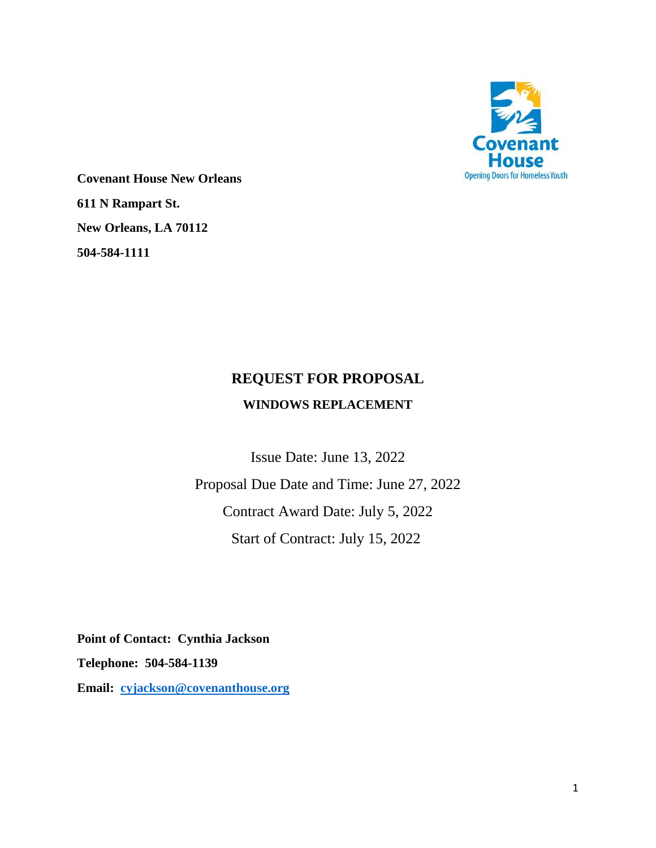

**Covenant House New Orleans 611 N Rampart St. New Orleans, LA 70112 504-584-1111**

# **REQUEST FOR PROPOSAL WINDOWS REPLACEMENT**

Issue Date: June 13, 2022 Proposal Due Date and Time: June 27, 2022 Contract Award Date: July 5, 2022 Start of Contract: July 15, 2022

**Point of Contact: Cynthia Jackson Telephone: 504-584-1139 Email: [cyjackson@covenanthouse.org](mailto:cyjackson@covenanthouse.org)**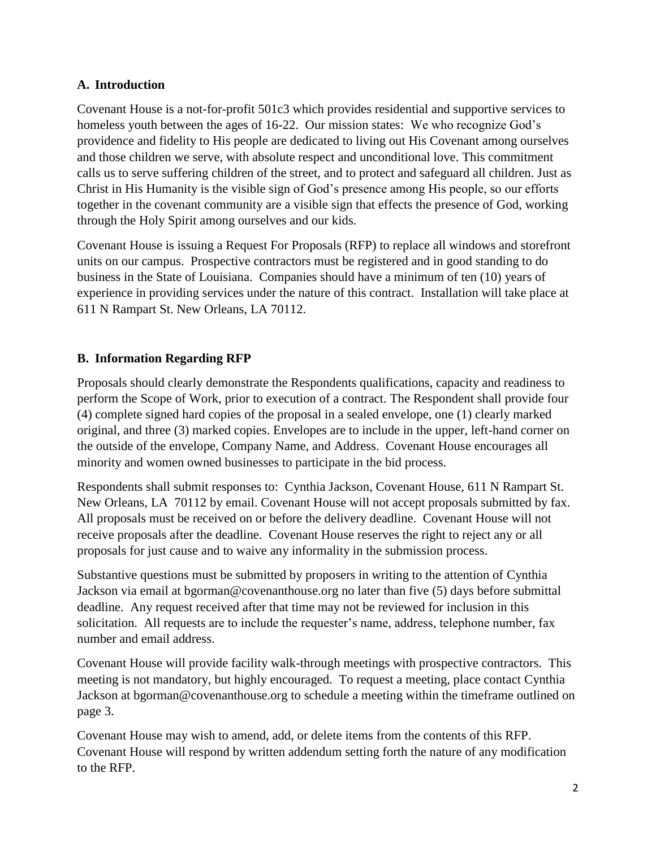# **A. Introduction**

Covenant House is a not-for-profit 501c3 which provides residential and supportive services to homeless youth between the ages of 16-22. Our mission states: We who recognize God's providence and fidelity to His people are dedicated to living out His Covenant among ourselves and those children we serve, with absolute respect and unconditional love. This commitment calls us to serve suffering children of the street, and to protect and safeguard all children. Just as Christ in His Humanity is the visible sign of God's presence among His people, so our efforts together in the covenant community are a visible sign that effects the presence of God, working through the Holy Spirit among ourselves and our kids.

Covenant House is issuing a Request For Proposals (RFP) to replace all windows and storefront units on our campus. Prospective contractors must be registered and in good standing to do business in the State of Louisiana. Companies should have a minimum of ten (10) years of experience in providing services under the nature of this contract. Installation will take place at 611 N Rampart St. New Orleans, LA 70112.

# **B. Information Regarding RFP**

Proposals should clearly demonstrate the Respondents qualifications, capacity and readiness to perform the Scope of Work, prior to execution of a contract. The Respondent shall provide four (4) complete signed hard copies of the proposal in a sealed envelope, one (1) clearly marked original, and three (3) marked copies. Envelopes are to include in the upper, left-hand corner on the outside of the envelope, Company Name, and Address. Covenant House encourages all minority and women owned businesses to participate in the bid process.

Respondents shall submit responses to: Cynthia Jackson, Covenant House, 611 N Rampart St. New Orleans, LA 70112 by email. Covenant House will not accept proposals submitted by fax. All proposals must be received on or before the delivery deadline. Covenant House will not receive proposals after the deadline. Covenant House reserves the right to reject any or all proposals for just cause and to waive any informality in the submission process.

Substantive questions must be submitted by proposers in writing to the attention of Cynthia Jackson via email at bgorman@covenanthouse.org no later than five (5) days before submittal deadline. Any request received after that time may not be reviewed for inclusion in this solicitation. All requests are to include the requester's name, address, telephone number, fax number and email address.

Covenant House will provide facility walk-through meetings with prospective contractors. This meeting is not mandatory, but highly encouraged. To request a meeting, place contact Cynthia Jackson at [bgorman@covenanthouse.org](mailto:bgorman@covenanthouse.org) to schedule a meeting within the timeframe outlined on page 3.

Covenant House may wish to amend, add, or delete items from the contents of this RFP. Covenant House will respond by written addendum setting forth the nature of any modification to the RFP.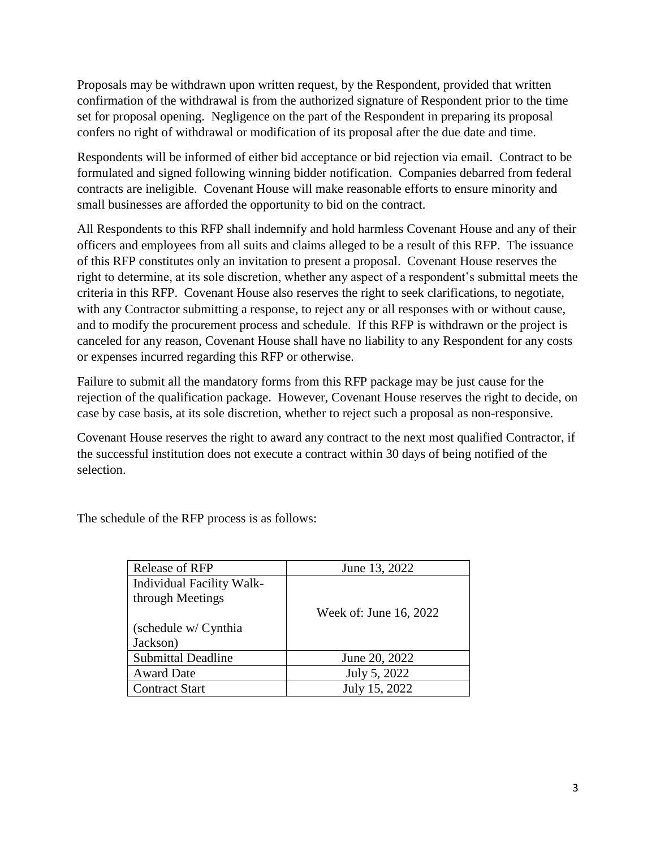Proposals may be withdrawn upon written request, by the Respondent, provided that written confirmation of the withdrawal is from the authorized signature of Respondent prior to the time set for proposal opening. Negligence on the part of the Respondent in preparing its proposal confers no right of withdrawal or modification of its proposal after the due date and time.

Respondents will be informed of either bid acceptance or bid rejection via email. Contract to be formulated and signed following winning bidder notification. Companies debarred from federal contracts are ineligible. Covenant House will make reasonable efforts to ensure minority and small businesses are afforded the opportunity to bid on the contract.

All Respondents to this RFP shall indemnify and hold harmless Covenant House and any of their officers and employees from all suits and claims alleged to be a result of this RFP. The issuance of this RFP constitutes only an invitation to present a proposal. Covenant House reserves the right to determine, at its sole discretion, whether any aspect of a respondent's submittal meets the criteria in this RFP. Covenant House also reserves the right to seek clarifications, to negotiate, with any Contractor submitting a response, to reject any or all responses with or without cause, and to modify the procurement process and schedule. If this RFP is withdrawn or the project is canceled for any reason, Covenant House shall have no liability to any Respondent for any costs or expenses incurred regarding this RFP or otherwise.

Failure to submit all the mandatory forms from this RFP package may be just cause for the rejection of the qualification package. However, Covenant House reserves the right to decide, on case by case basis, at its sole discretion, whether to reject such a proposal as non-responsive.

Covenant House reserves the right to award any contract to the next most qualified Contractor, if the successful institution does not execute a contract within 30 days of being notified of the selection.

The schedule of the RFP process is as follows:

| Release of RFP            | June 13, 2022          |
|---------------------------|------------------------|
| Individual Facility Walk- |                        |
| through Meetings          |                        |
|                           | Week of: June 16, 2022 |
| (schedule w/ Cynthia)     |                        |
| Jackson)                  |                        |
| <b>Submittal Deadline</b> | June 20, 2022          |
| <b>Award Date</b>         | July 5, 2022           |
| <b>Contract Start</b>     | July 15, 2022          |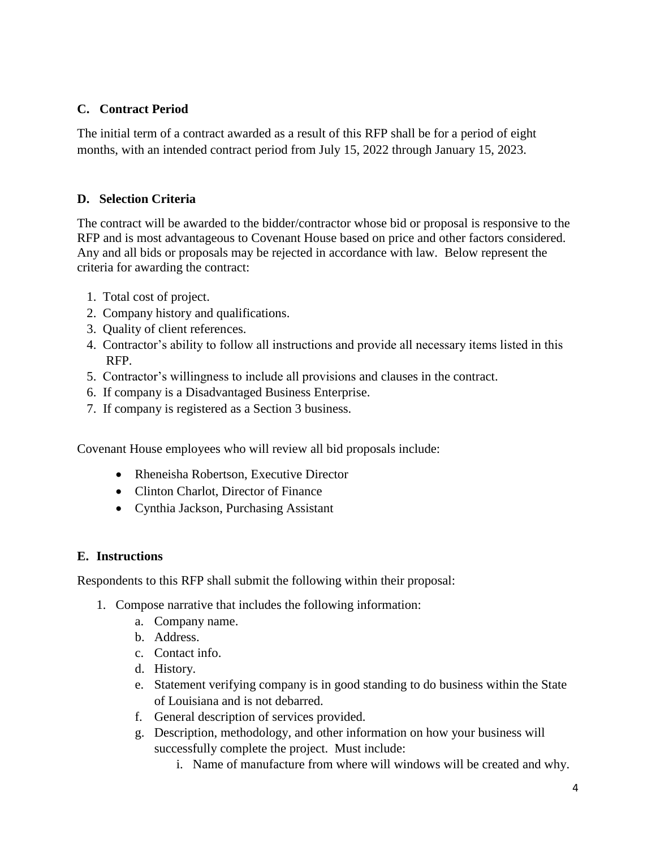# **C. Contract Period**

The initial term of a contract awarded as a result of this RFP shall be for a period of eight months, with an intended contract period from July 15, 2022 through January 15, 2023.

## **D. Selection Criteria**

The contract will be awarded to the bidder/contractor whose bid or proposal is responsive to the RFP and is most advantageous to Covenant House based on price and other factors considered. Any and all bids or proposals may be rejected in accordance with law. Below represent the criteria for awarding the contract:

- 1. Total cost of project.
- 2. Company history and qualifications.
- 3. Quality of client references.
- 4. Contractor's ability to follow all instructions and provide all necessary items listed in this RFP.
- 5. Contractor's willingness to include all provisions and clauses in the contract.
- 6. If company is a Disadvantaged Business Enterprise.
- 7. If company is registered as a Section 3 business.

Covenant House employees who will review all bid proposals include:

- Rheneisha Robertson, Executive Director
- Clinton Charlot, Director of Finance
- Cynthia Jackson, Purchasing Assistant

# **E. Instructions**

Respondents to this RFP shall submit the following within their proposal:

- 1. Compose narrative that includes the following information:
	- a. Company name.
	- b. Address.
	- c. Contact info.
	- d. History.
	- e. Statement verifying company is in good standing to do business within the State of Louisiana and is not debarred.
	- f. General description of services provided.
	- g. Description, methodology, and other information on how your business will successfully complete the project. Must include:
		- i. Name of manufacture from where will windows will be created and why.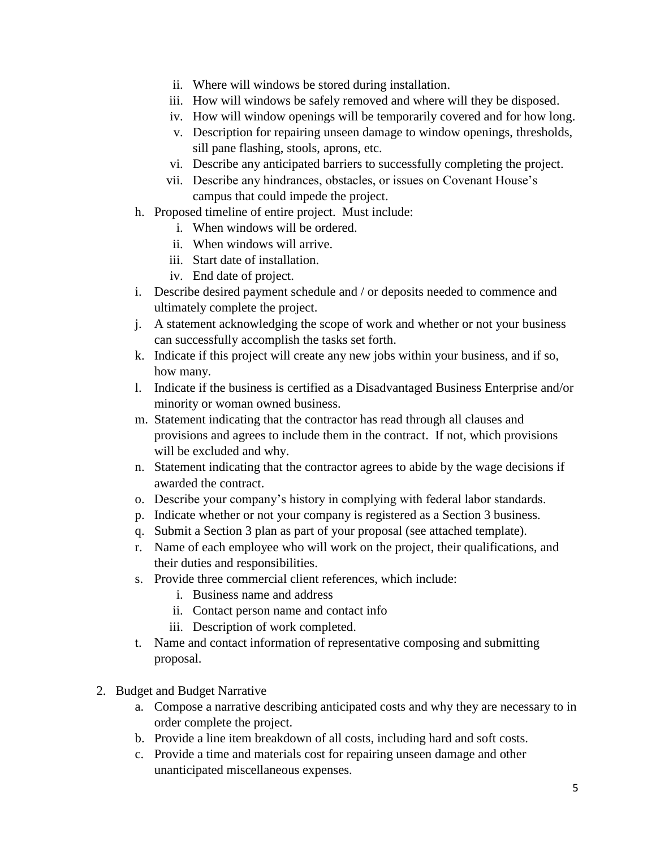- ii. Where will windows be stored during installation.
- iii. How will windows be safely removed and where will they be disposed.
- iv. How will window openings will be temporarily covered and for how long.
- v. Description for repairing unseen damage to window openings, thresholds, sill pane flashing, stools, aprons, etc.
- vi. Describe any anticipated barriers to successfully completing the project.
- vii. Describe any hindrances, obstacles, or issues on Covenant House's campus that could impede the project.
- h. Proposed timeline of entire project. Must include:
	- i. When windows will be ordered.
	- ii. When windows will arrive.
	- iii. Start date of installation.
	- iv. End date of project.
- i. Describe desired payment schedule and / or deposits needed to commence and ultimately complete the project.
- j. A statement acknowledging the scope of work and whether or not your business can successfully accomplish the tasks set forth.
- k. Indicate if this project will create any new jobs within your business, and if so, how many.
- l. Indicate if the business is certified as a Disadvantaged Business Enterprise and/or minority or woman owned business.
- m. Statement indicating that the contractor has read through all clauses and provisions and agrees to include them in the contract. If not, which provisions will be excluded and why.
- n. Statement indicating that the contractor agrees to abide by the wage decisions if awarded the contract.
- o. Describe your company's history in complying with federal labor standards.
- p. Indicate whether or not your company is registered as a Section 3 business.
- q. Submit a Section 3 plan as part of your proposal (see attached template).
- r. Name of each employee who will work on the project, their qualifications, and their duties and responsibilities.
- s. Provide three commercial client references, which include:
	- i. Business name and address
	- ii. Contact person name and contact info
	- iii. Description of work completed.
- t. Name and contact information of representative composing and submitting proposal.
- 2. Budget and Budget Narrative
	- a. Compose a narrative describing anticipated costs and why they are necessary to in order complete the project.
	- b. Provide a line item breakdown of all costs, including hard and soft costs.
	- c. Provide a time and materials cost for repairing unseen damage and other unanticipated miscellaneous expenses.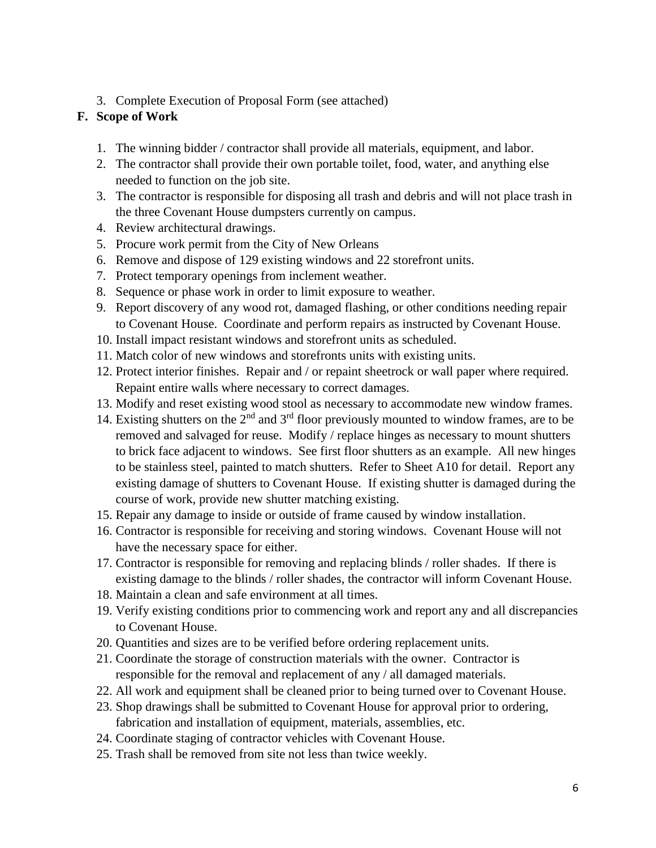3. Complete Execution of Proposal Form (see attached)

# **F. Scope of Work**

- 1. The winning bidder / contractor shall provide all materials, equipment, and labor.
- 2. The contractor shall provide their own portable toilet, food, water, and anything else needed to function on the job site.
- 3. The contractor is responsible for disposing all trash and debris and will not place trash in the three Covenant House dumpsters currently on campus.
- 4. Review architectural drawings.
- 5. Procure work permit from the City of New Orleans
- 6. Remove and dispose of 129 existing windows and 22 storefront units.
- 7. Protect temporary openings from inclement weather.
- 8. Sequence or phase work in order to limit exposure to weather.
- 9. Report discovery of any wood rot, damaged flashing, or other conditions needing repair to Covenant House. Coordinate and perform repairs as instructed by Covenant House.
- 10. Install impact resistant windows and storefront units as scheduled.
- 11. Match color of new windows and storefronts units with existing units.
- 12. Protect interior finishes. Repair and / or repaint sheetrock or wall paper where required. Repaint entire walls where necessary to correct damages.
- 13. Modify and reset existing wood stool as necessary to accommodate new window frames.
- 14. Existing shutters on the  $2<sup>nd</sup>$  and  $3<sup>rd</sup>$  floor previously mounted to window frames, are to be removed and salvaged for reuse. Modify / replace hinges as necessary to mount shutters to brick face adjacent to windows. See first floor shutters as an example. All new hinges to be stainless steel, painted to match shutters. Refer to Sheet A10 for detail. Report any existing damage of shutters to Covenant House. If existing shutter is damaged during the course of work, provide new shutter matching existing.
- 15. Repair any damage to inside or outside of frame caused by window installation.
- 16. Contractor is responsible for receiving and storing windows. Covenant House will not have the necessary space for either.
- 17. Contractor is responsible for removing and replacing blinds / roller shades. If there is existing damage to the blinds / roller shades, the contractor will inform Covenant House.
- 18. Maintain a clean and safe environment at all times.
- 19. Verify existing conditions prior to commencing work and report any and all discrepancies to Covenant House.
- 20. Quantities and sizes are to be verified before ordering replacement units.
- 21. Coordinate the storage of construction materials with the owner. Contractor is responsible for the removal and replacement of any / all damaged materials.
- 22. All work and equipment shall be cleaned prior to being turned over to Covenant House.
- 23. Shop drawings shall be submitted to Covenant House for approval prior to ordering, fabrication and installation of equipment, materials, assemblies, etc.
- 24. Coordinate staging of contractor vehicles with Covenant House.
- 25. Trash shall be removed from site not less than twice weekly.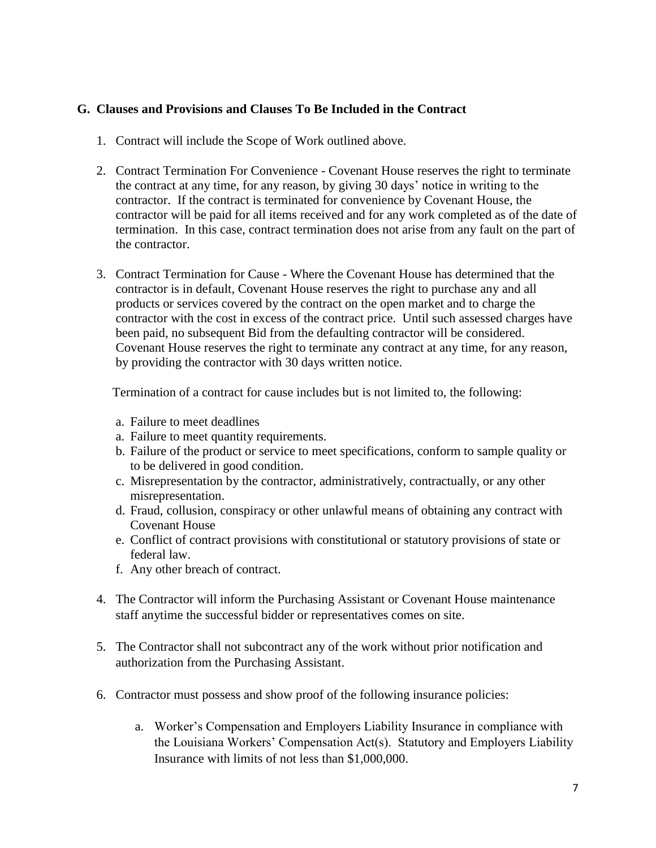## **G. Clauses and Provisions and Clauses To Be Included in the Contract**

- 1. Contract will include the Scope of Work outlined above.
- 2. Contract Termination For Convenience Covenant House reserves the right to terminate the contract at any time, for any reason, by giving 30 days' notice in writing to the contractor. If the contract is terminated for convenience by Covenant House, the contractor will be paid for all items received and for any work completed as of the date of termination. In this case, contract termination does not arise from any fault on the part of the contractor.
- 3. Contract Termination for Cause Where the Covenant House has determined that the contractor is in default, Covenant House reserves the right to purchase any and all products or services covered by the contract on the open market and to charge the contractor with the cost in excess of the contract price. Until such assessed charges have been paid, no subsequent Bid from the defaulting contractor will be considered. Covenant House reserves the right to terminate any contract at any time, for any reason, by providing the contractor with 30 days written notice.

Termination of a contract for cause includes but is not limited to, the following:

- a. Failure to meet deadlines
- a. Failure to meet quantity requirements.
- b. Failure of the product or service to meet specifications, conform to sample quality or to be delivered in good condition.
- c. Misrepresentation by the contractor, administratively, contractually, or any other misrepresentation.
- d. Fraud, collusion, conspiracy or other unlawful means of obtaining any contract with Covenant House
- e. Conflict of contract provisions with constitutional or statutory provisions of state or federal law.
- f. Any other breach of contract.
- 4. The Contractor will inform the Purchasing Assistant or Covenant House maintenance staff anytime the successful bidder or representatives comes on site.
- 5. The Contractor shall not subcontract any of the work without prior notification and authorization from the Purchasing Assistant.
- 6. Contractor must possess and show proof of the following insurance policies:
	- a. Worker's Compensation and Employers Liability Insurance in compliance with the Louisiana Workers' Compensation Act(s). Statutory and Employers Liability Insurance with limits of not less than \$1,000,000.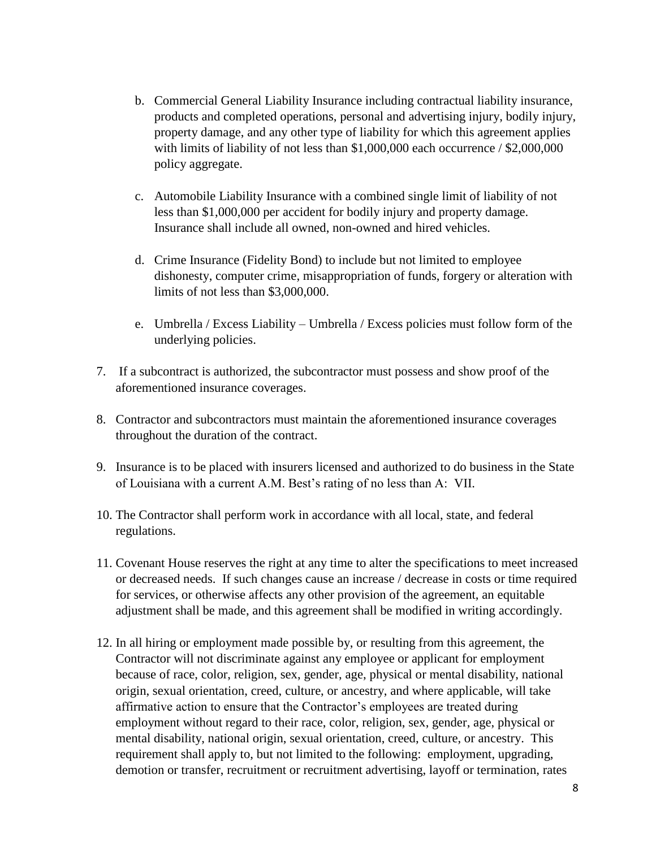- b. Commercial General Liability Insurance including contractual liability insurance, products and completed operations, personal and advertising injury, bodily injury, property damage, and any other type of liability for which this agreement applies with limits of liability of not less than \$1,000,000 each occurrence / \$2,000,000 policy aggregate.
- c. Automobile Liability Insurance with a combined single limit of liability of not less than \$1,000,000 per accident for bodily injury and property damage. Insurance shall include all owned, non-owned and hired vehicles.
- d. Crime Insurance (Fidelity Bond) to include but not limited to employee dishonesty, computer crime, misappropriation of funds, forgery or alteration with limits of not less than \$3,000,000.
- e. Umbrella / Excess Liability Umbrella / Excess policies must follow form of the underlying policies.
- 7. If a subcontract is authorized, the subcontractor must possess and show proof of the aforementioned insurance coverages.
- 8. Contractor and subcontractors must maintain the aforementioned insurance coverages throughout the duration of the contract.
- 9. Insurance is to be placed with insurers licensed and authorized to do business in the State of Louisiana with a current A.M. Best's rating of no less than A: VII.
- 10. The Contractor shall perform work in accordance with all local, state, and federal regulations.
- 11. Covenant House reserves the right at any time to alter the specifications to meet increased or decreased needs. If such changes cause an increase / decrease in costs or time required for services, or otherwise affects any other provision of the agreement, an equitable adjustment shall be made, and this agreement shall be modified in writing accordingly.
- 12. In all hiring or employment made possible by, or resulting from this agreement, the Contractor will not discriminate against any employee or applicant for employment because of race, color, religion, sex, gender, age, physical or mental disability, national origin, sexual orientation, creed, culture, or ancestry, and where applicable, will take affirmative action to ensure that the Contractor's employees are treated during employment without regard to their race, color, religion, sex, gender, age, physical or mental disability, national origin, sexual orientation, creed, culture, or ancestry. This requirement shall apply to, but not limited to the following: employment, upgrading, demotion or transfer, recruitment or recruitment advertising, layoff or termination, rates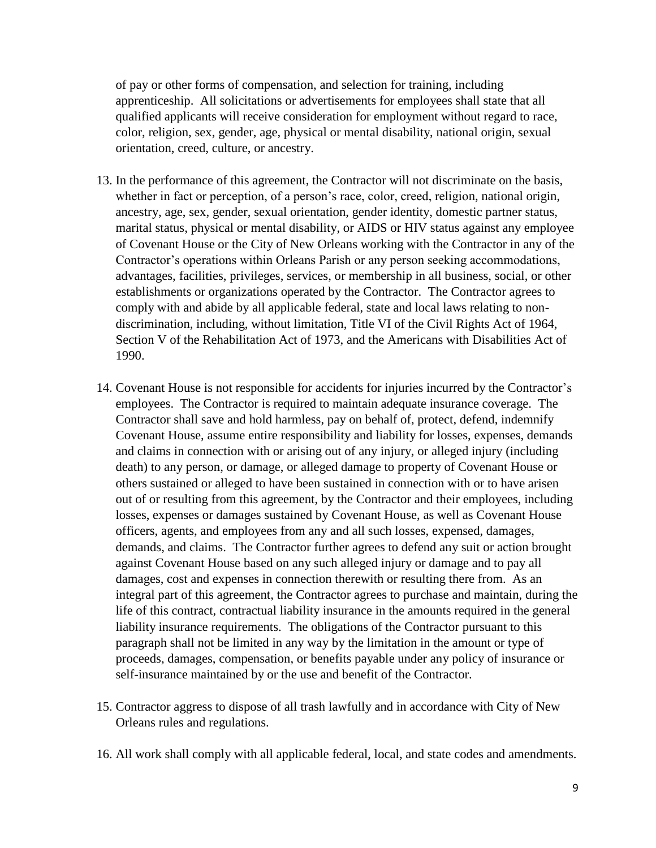of pay or other forms of compensation, and selection for training, including apprenticeship. All solicitations or advertisements for employees shall state that all qualified applicants will receive consideration for employment without regard to race, color, religion, sex, gender, age, physical or mental disability, national origin, sexual orientation, creed, culture, or ancestry.

- 13. In the performance of this agreement, the Contractor will not discriminate on the basis, whether in fact or perception, of a person's race, color, creed, religion, national origin, ancestry, age, sex, gender, sexual orientation, gender identity, domestic partner status, marital status, physical or mental disability, or AIDS or HIV status against any employee of Covenant House or the City of New Orleans working with the Contractor in any of the Contractor's operations within Orleans Parish or any person seeking accommodations, advantages, facilities, privileges, services, or membership in all business, social, or other establishments or organizations operated by the Contractor. The Contractor agrees to comply with and abide by all applicable federal, state and local laws relating to nondiscrimination, including, without limitation, Title VI of the Civil Rights Act of 1964, Section V of the Rehabilitation Act of 1973, and the Americans with Disabilities Act of 1990.
- 14. Covenant House is not responsible for accidents for injuries incurred by the Contractor's employees. The Contractor is required to maintain adequate insurance coverage. The Contractor shall save and hold harmless, pay on behalf of, protect, defend, indemnify Covenant House, assume entire responsibility and liability for losses, expenses, demands and claims in connection with or arising out of any injury, or alleged injury (including death) to any person, or damage, or alleged damage to property of Covenant House or others sustained or alleged to have been sustained in connection with or to have arisen out of or resulting from this agreement, by the Contractor and their employees, including losses, expenses or damages sustained by Covenant House, as well as Covenant House officers, agents, and employees from any and all such losses, expensed, damages, demands, and claims. The Contractor further agrees to defend any suit or action brought against Covenant House based on any such alleged injury or damage and to pay all damages, cost and expenses in connection therewith or resulting there from. As an integral part of this agreement, the Contractor agrees to purchase and maintain, during the life of this contract, contractual liability insurance in the amounts required in the general liability insurance requirements. The obligations of the Contractor pursuant to this paragraph shall not be limited in any way by the limitation in the amount or type of proceeds, damages, compensation, or benefits payable under any policy of insurance or self-insurance maintained by or the use and benefit of the Contractor.
- 15. Contractor aggress to dispose of all trash lawfully and in accordance with City of New Orleans rules and regulations.
- 16. All work shall comply with all applicable federal, local, and state codes and amendments.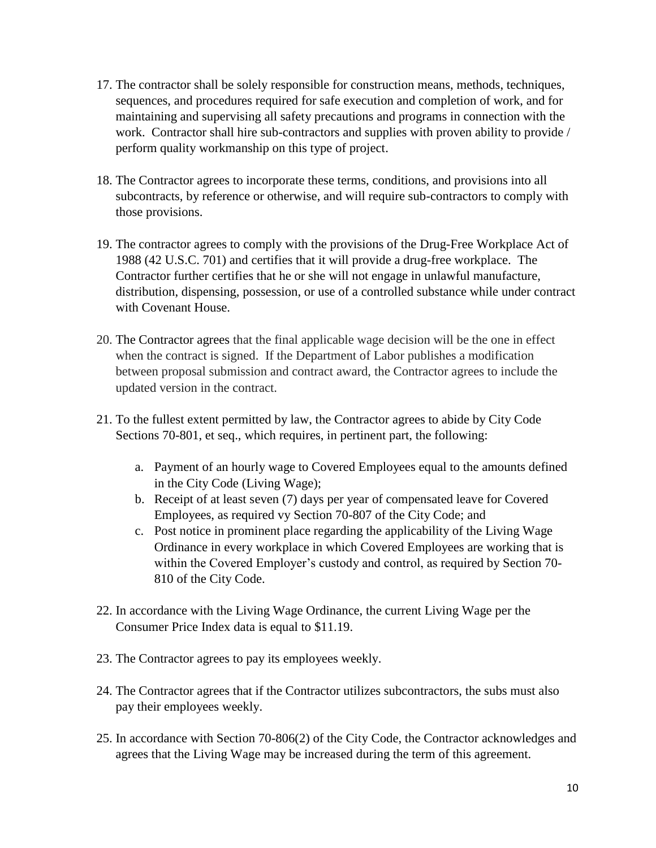- 17. The contractor shall be solely responsible for construction means, methods, techniques, sequences, and procedures required for safe execution and completion of work, and for maintaining and supervising all safety precautions and programs in connection with the work. Contractor shall hire sub-contractors and supplies with proven ability to provide / perform quality workmanship on this type of project.
- 18. The Contractor agrees to incorporate these terms, conditions, and provisions into all subcontracts, by reference or otherwise, and will require sub-contractors to comply with those provisions.
- 19. The contractor agrees to comply with the provisions of the Drug-Free Workplace Act of 1988 (42 U.S.C. 701) and certifies that it will provide a drug-free workplace. The Contractor further certifies that he or she will not engage in unlawful manufacture, distribution, dispensing, possession, or use of a controlled substance while under contract with Covenant House.
- 20. The Contractor agrees that the final applicable wage decision will be the one in effect when the contract is signed. If the Department of Labor publishes a modification between proposal submission and contract award, the Contractor agrees to include the updated version in the contract.
- 21. To the fullest extent permitted by law, the Contractor agrees to abide by City Code Sections 70-801, et seq., which requires, in pertinent part, the following:
	- a. Payment of an hourly wage to Covered Employees equal to the amounts defined in the City Code (Living Wage);
	- b. Receipt of at least seven (7) days per year of compensated leave for Covered Employees, as required vy Section 70-807 of the City Code; and
	- c. Post notice in prominent place regarding the applicability of the Living Wage Ordinance in every workplace in which Covered Employees are working that is within the Covered Employer's custody and control, as required by Section 70- 810 of the City Code.
- 22. In accordance with the Living Wage Ordinance, the current Living Wage per the Consumer Price Index data is equal to \$11.19.
- 23. The Contractor agrees to pay its employees weekly.
- 24. The Contractor agrees that if the Contractor utilizes subcontractors, the subs must also pay their employees weekly.
- 25. In accordance with Section 70-806(2) of the City Code, the Contractor acknowledges and agrees that the Living Wage may be increased during the term of this agreement.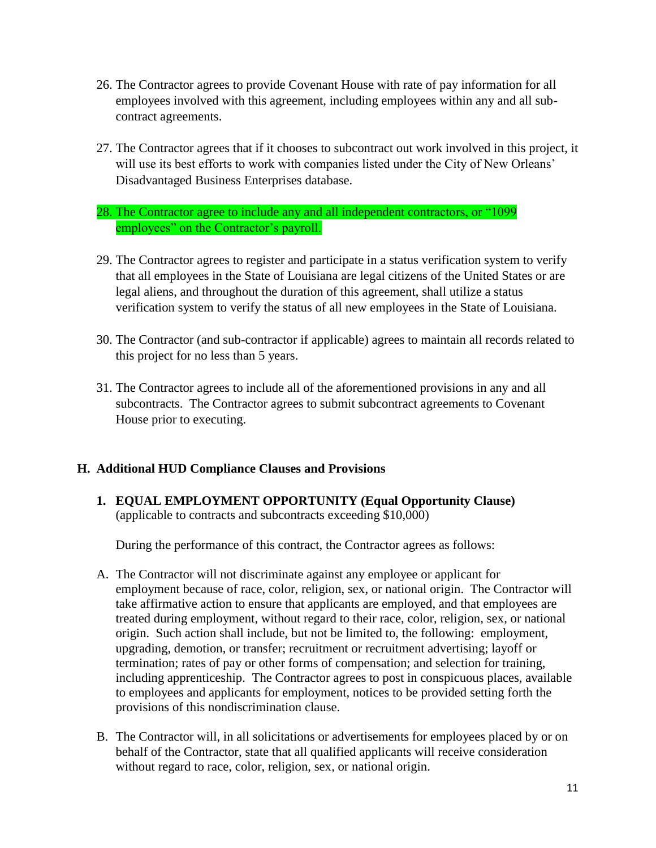- 26. The Contractor agrees to provide Covenant House with rate of pay information for all employees involved with this agreement, including employees within any and all subcontract agreements.
- 27. The Contractor agrees that if it chooses to subcontract out work involved in this project, it will use its best efforts to work with companies listed under the City of New Orleans' Disadvantaged Business Enterprises database.
- 28. The Contractor agree to include any and all independent contractors, or "1099 employees" on the Contractor's payroll.
- 29. The Contractor agrees to register and participate in a status verification system to verify that all employees in the State of Louisiana are legal citizens of the United States or are legal aliens, and throughout the duration of this agreement, shall utilize a status verification system to verify the status of all new employees in the State of Louisiana.
- 30. The Contractor (and sub-contractor if applicable) agrees to maintain all records related to this project for no less than 5 years.
- 31. The Contractor agrees to include all of the aforementioned provisions in any and all subcontracts. The Contractor agrees to submit subcontract agreements to Covenant House prior to executing.

## **H. Additional HUD Compliance Clauses and Provisions**

**1. EQUAL EMPLOYMENT OPPORTUNITY (Equal Opportunity Clause)** (applicable to contracts and subcontracts exceeding \$10,000)

During the performance of this contract, the Contractor agrees as follows:

- A. The Contractor will not discriminate against any employee or applicant for employment because of race, color, religion, sex, or national origin. The Contractor will take affirmative action to ensure that applicants are employed, and that employees are treated during employment, without regard to their race, color, religion, sex, or national origin. Such action shall include, but not be limited to, the following: employment, upgrading, demotion, or transfer; recruitment or recruitment advertising; layoff or termination; rates of pay or other forms of compensation; and selection for training, including apprenticeship. The Contractor agrees to post in conspicuous places, available to employees and applicants for employment, notices to be provided setting forth the provisions of this nondiscrimination clause.
- B. The Contractor will, in all solicitations or advertisements for employees placed by or on behalf of the Contractor, state that all qualified applicants will receive consideration without regard to race, color, religion, sex, or national origin.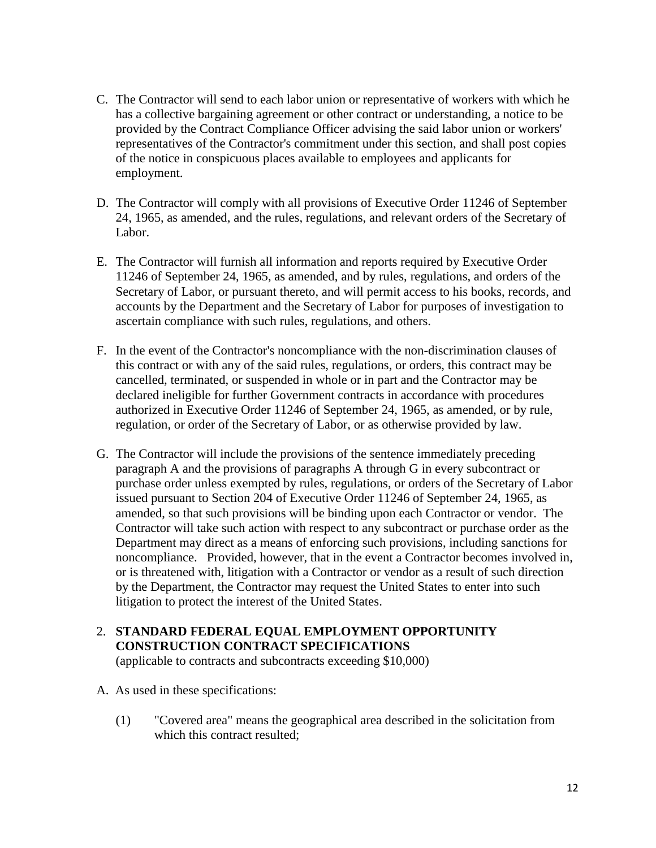- C. The Contractor will send to each labor union or representative of workers with which he has a collective bargaining agreement or other contract or understanding, a notice to be provided by the Contract Compliance Officer advising the said labor union or workers' representatives of the Contractor's commitment under this section, and shall post copies of the notice in conspicuous places available to employees and applicants for employment.
- D. The Contractor will comply with all provisions of Executive Order 11246 of September 24, 1965, as amended, and the rules, regulations, and relevant orders of the Secretary of Labor.
- E. The Contractor will furnish all information and reports required by Executive Order 11246 of September 24, 1965, as amended, and by rules, regulations, and orders of the Secretary of Labor, or pursuant thereto, and will permit access to his books, records, and accounts by the Department and the Secretary of Labor for purposes of investigation to ascertain compliance with such rules, regulations, and others.
- F. In the event of the Contractor's noncompliance with the non-discrimination clauses of this contract or with any of the said rules, regulations, or orders, this contract may be cancelled, terminated, or suspended in whole or in part and the Contractor may be declared ineligible for further Government contracts in accordance with procedures authorized in Executive Order 11246 of September 24, 1965, as amended, or by rule, regulation, or order of the Secretary of Labor, or as otherwise provided by law.
- G. The Contractor will include the provisions of the sentence immediately preceding paragraph A and the provisions of paragraphs A through G in every subcontract or purchase order unless exempted by rules, regulations, or orders of the Secretary of Labor issued pursuant to Section 204 of Executive Order 11246 of September 24, 1965, as amended, so that such provisions will be binding upon each Contractor or vendor. The Contractor will take such action with respect to any subcontract or purchase order as the Department may direct as a means of enforcing such provisions, including sanctions for noncompliance. Provided, however, that in the event a Contractor becomes involved in, or is threatened with, litigation with a Contractor or vendor as a result of such direction by the Department, the Contractor may request the United States to enter into such litigation to protect the interest of the United States.
- 2. **STANDARD FEDERAL EQUAL EMPLOYMENT OPPORTUNITY CONSTRUCTION CONTRACT SPECIFICATIONS**

(applicable to contracts and subcontracts exceeding \$10,000)

- A. As used in these specifications:
	- (1) "Covered area" means the geographical area described in the solicitation from which this contract resulted: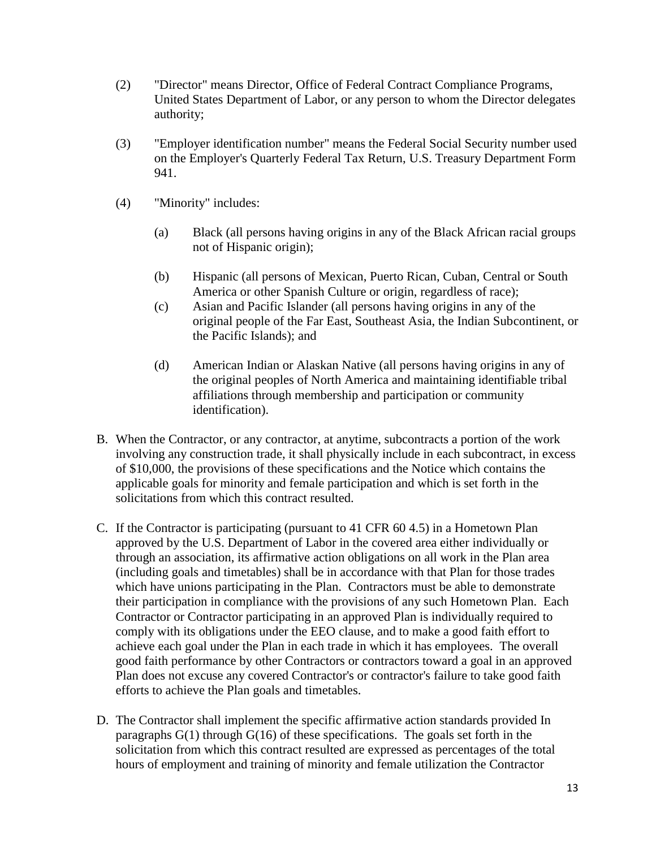- (2) "Director" means Director, Office of Federal Contract Compliance Programs, United States Department of Labor, or any person to whom the Director delegates authority;
- (3) "Employer identification number" means the Federal Social Security number used on the Employer's Quarterly Federal Tax Return, U.S. Treasury Department Form 941.
- (4) "Minority" includes:
	- (a) Black (all persons having origins in any of the Black African racial groups not of Hispanic origin);
	- (b) Hispanic (all persons of Mexican, Puerto Rican, Cuban, Central or South America or other Spanish Culture or origin, regardless of race);
	- (c) Asian and Pacific Islander (all persons having origins in any of the original people of the Far East, Southeast Asia, the Indian Subcontinent, or the Pacific Islands); and
	- (d) American Indian or Alaskan Native (all persons having origins in any of the original peoples of North America and maintaining identifiable tribal affiliations through membership and participation or community identification).
- B. When the Contractor, or any contractor, at anytime, subcontracts a portion of the work involving any construction trade, it shall physically include in each subcontract, in excess of \$10,000, the provisions of these specifications and the Notice which contains the applicable goals for minority and female participation and which is set forth in the solicitations from which this contract resulted.
- C. If the Contractor is participating (pursuant to 41 CFR 60 4.5) in a Hometown Plan approved by the U.S. Department of Labor in the covered area either individually or through an association, its affirmative action obligations on all work in the Plan area (including goals and timetables) shall be in accordance with that Plan for those trades which have unions participating in the Plan. Contractors must be able to demonstrate their participation in compliance with the provisions of any such Hometown Plan. Each Contractor or Contractor participating in an approved Plan is individually required to comply with its obligations under the EEO clause, and to make a good faith effort to achieve each goal under the Plan in each trade in which it has employees. The overall good faith performance by other Contractors or contractors toward a goal in an approved Plan does not excuse any covered Contractor's or contractor's failure to take good faith efforts to achieve the Plan goals and timetables.
- D. The Contractor shall implement the specific affirmative action standards provided In paragraphs G(1) through G(16) of these specifications. The goals set forth in the solicitation from which this contract resulted are expressed as percentages of the total hours of employment and training of minority and female utilization the Contractor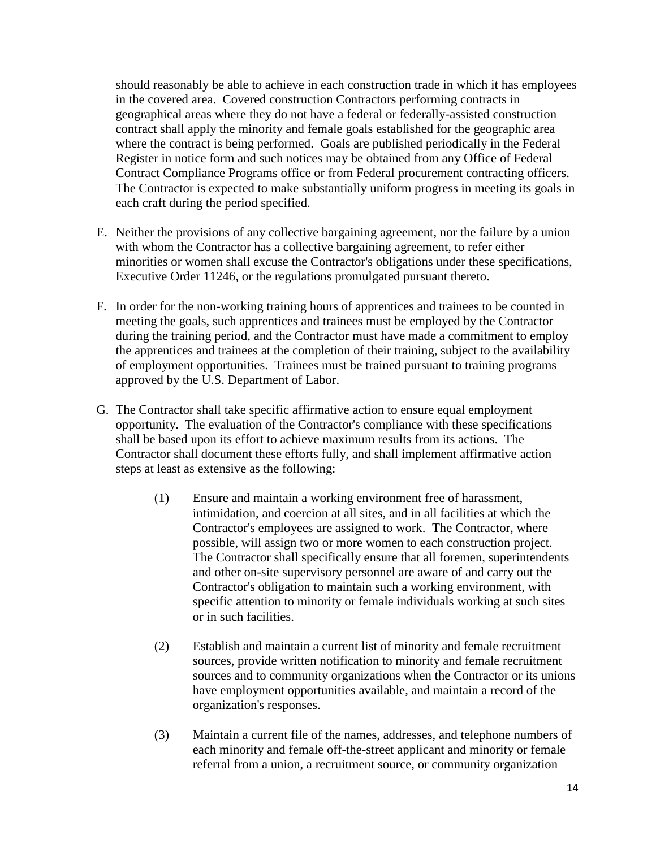should reasonably be able to achieve in each construction trade in which it has employees in the covered area. Covered construction Contractors performing contracts in geographical areas where they do not have a federal or federally-assisted construction contract shall apply the minority and female goals established for the geographic area where the contract is being performed. Goals are published periodically in the Federal Register in notice form and such notices may be obtained from any Office of Federal Contract Compliance Programs office or from Federal procurement contracting officers. The Contractor is expected to make substantially uniform progress in meeting its goals in each craft during the period specified.

- E. Neither the provisions of any collective bargaining agreement, nor the failure by a union with whom the Contractor has a collective bargaining agreement, to refer either minorities or women shall excuse the Contractor's obligations under these specifications, Executive Order 11246, or the regulations promulgated pursuant thereto.
- F. In order for the non-working training hours of apprentices and trainees to be counted in meeting the goals, such apprentices and trainees must be employed by the Contractor during the training period, and the Contractor must have made a commitment to employ the apprentices and trainees at the completion of their training, subject to the availability of employment opportunities. Trainees must be trained pursuant to training programs approved by the U.S. Department of Labor.
- G. The Contractor shall take specific affirmative action to ensure equal employment opportunity. The evaluation of the Contractor's compliance with these specifications shall be based upon its effort to achieve maximum results from its actions. The Contractor shall document these efforts fully, and shall implement affirmative action steps at least as extensive as the following:
	- (1) Ensure and maintain a working environment free of harassment, intimidation, and coercion at all sites, and in all facilities at which the Contractor's employees are assigned to work. The Contractor, where possible, will assign two or more women to each construction project. The Contractor shall specifically ensure that all foremen, superintendents and other on-site supervisory personnel are aware of and carry out the Contractor's obligation to maintain such a working environment, with specific attention to minority or female individuals working at such sites or in such facilities.
	- (2) Establish and maintain a current list of minority and female recruitment sources, provide written notification to minority and female recruitment sources and to community organizations when the Contractor or its unions have employment opportunities available, and maintain a record of the organization's responses.
	- (3) Maintain a current file of the names, addresses, and telephone numbers of each minority and female off-the-street applicant and minority or female referral from a union, a recruitment source, or community organization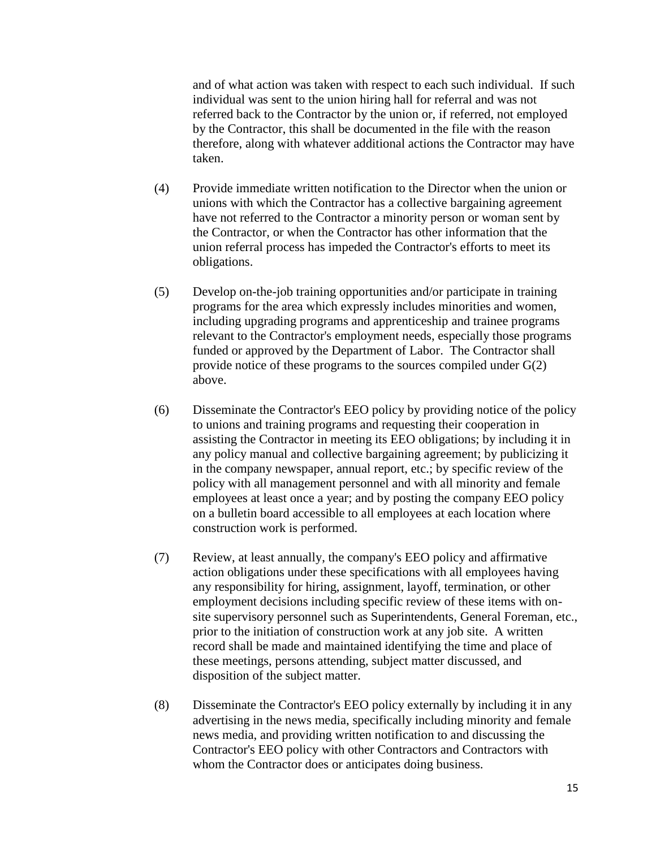and of what action was taken with respect to each such individual. If such individual was sent to the union hiring hall for referral and was not referred back to the Contractor by the union or, if referred, not employed by the Contractor, this shall be documented in the file with the reason therefore, along with whatever additional actions the Contractor may have taken.

- (4) Provide immediate written notification to the Director when the union or unions with which the Contractor has a collective bargaining agreement have not referred to the Contractor a minority person or woman sent by the Contractor, or when the Contractor has other information that the union referral process has impeded the Contractor's efforts to meet its obligations.
- (5) Develop on-the-job training opportunities and/or participate in training programs for the area which expressly includes minorities and women, including upgrading programs and apprenticeship and trainee programs relevant to the Contractor's employment needs, especially those programs funded or approved by the Department of Labor. The Contractor shall provide notice of these programs to the sources compiled under G(2) above.
- (6) Disseminate the Contractor's EEO policy by providing notice of the policy to unions and training programs and requesting their cooperation in assisting the Contractor in meeting its EEO obligations; by including it in any policy manual and collective bargaining agreement; by publicizing it in the company newspaper, annual report, etc.; by specific review of the policy with all management personnel and with all minority and female employees at least once a year; and by posting the company EEO policy on a bulletin board accessible to all employees at each location where construction work is performed.
- (7) Review, at least annually, the company's EEO policy and affirmative action obligations under these specifications with all employees having any responsibility for hiring, assignment, layoff, termination, or other employment decisions including specific review of these items with onsite supervisory personnel such as Superintendents, General Foreman, etc., prior to the initiation of construction work at any job site. A written record shall be made and maintained identifying the time and place of these meetings, persons attending, subject matter discussed, and disposition of the subject matter.
- (8) Disseminate the Contractor's EEO policy externally by including it in any advertising in the news media, specifically including minority and female news media, and providing written notification to and discussing the Contractor's EEO policy with other Contractors and Contractors with whom the Contractor does or anticipates doing business.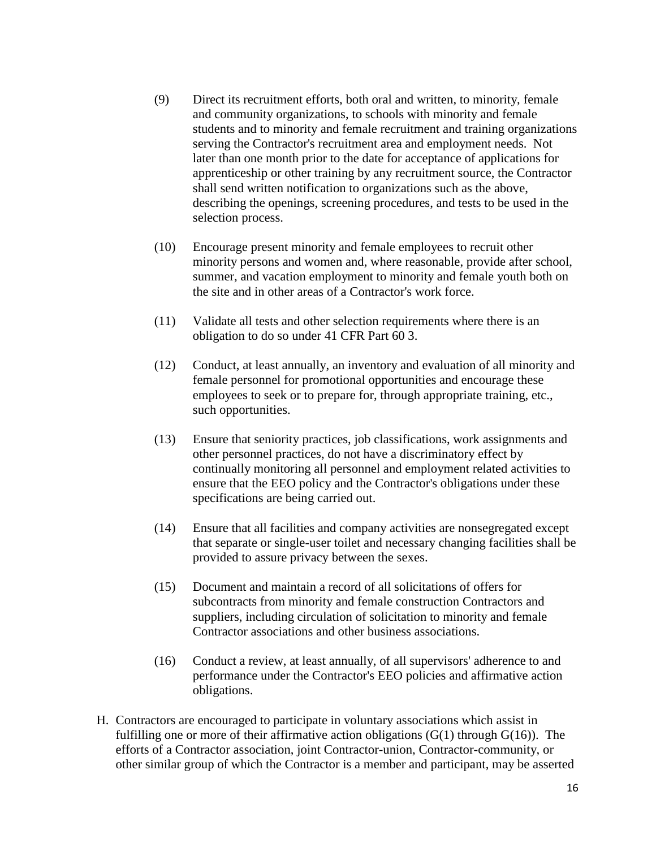- (9) Direct its recruitment efforts, both oral and written, to minority, female and community organizations, to schools with minority and female students and to minority and female recruitment and training organizations serving the Contractor's recruitment area and employment needs. Not later than one month prior to the date for acceptance of applications for apprenticeship or other training by any recruitment source, the Contractor shall send written notification to organizations such as the above, describing the openings, screening procedures, and tests to be used in the selection process.
- (10) Encourage present minority and female employees to recruit other minority persons and women and, where reasonable, provide after school, summer, and vacation employment to minority and female youth both on the site and in other areas of a Contractor's work force.
- (11) Validate all tests and other selection requirements where there is an obligation to do so under 41 CFR Part 60 3.
- (12) Conduct, at least annually, an inventory and evaluation of all minority and female personnel for promotional opportunities and encourage these employees to seek or to prepare for, through appropriate training, etc., such opportunities.
- (13) Ensure that seniority practices, job classifications, work assignments and other personnel practices, do not have a discriminatory effect by continually monitoring all personnel and employment related activities to ensure that the EEO policy and the Contractor's obligations under these specifications are being carried out.
- (14) Ensure that all facilities and company activities are nonsegregated except that separate or single-user toilet and necessary changing facilities shall be provided to assure privacy between the sexes.
- (15) Document and maintain a record of all solicitations of offers for subcontracts from minority and female construction Contractors and suppliers, including circulation of solicitation to minority and female Contractor associations and other business associations.
- (16) Conduct a review, at least annually, of all supervisors' adherence to and performance under the Contractor's EEO policies and affirmative action obligations.
- H. Contractors are encouraged to participate in voluntary associations which assist in fulfilling one or more of their affirmative action obligations  $(G(1)$  through  $G(16)$ ). The efforts of a Contractor association, joint Contractor-union, Contractor-community, or other similar group of which the Contractor is a member and participant, may be asserted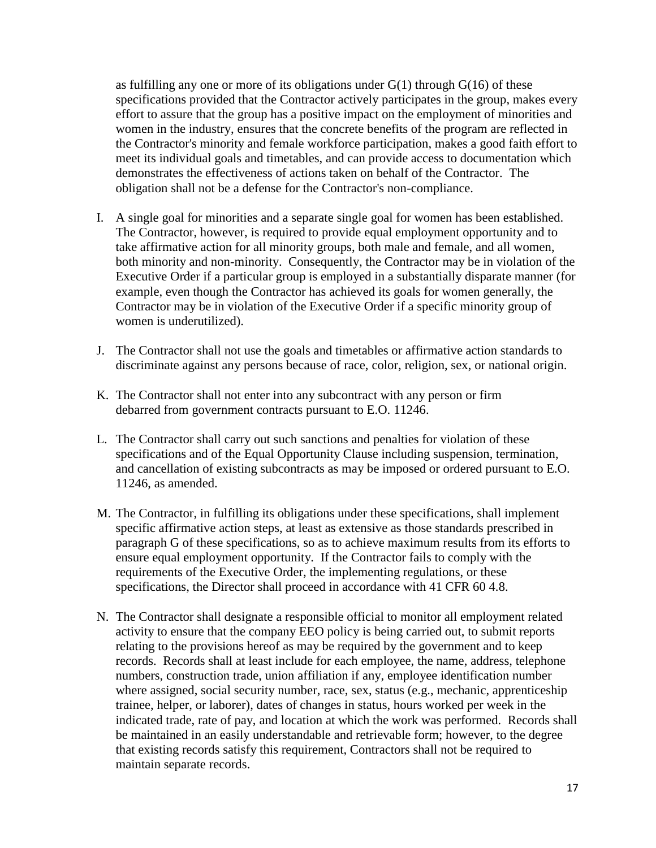as fulfilling any one or more of its obligations under  $G(1)$  through  $G(16)$  of these specifications provided that the Contractor actively participates in the group, makes every effort to assure that the group has a positive impact on the employment of minorities and women in the industry, ensures that the concrete benefits of the program are reflected in the Contractor's minority and female workforce participation, makes a good faith effort to meet its individual goals and timetables, and can provide access to documentation which demonstrates the effectiveness of actions taken on behalf of the Contractor. The obligation shall not be a defense for the Contractor's non-compliance.

- I. A single goal for minorities and a separate single goal for women has been established. The Contractor, however, is required to provide equal employment opportunity and to take affirmative action for all minority groups, both male and female, and all women, both minority and non-minority. Consequently, the Contractor may be in violation of the Executive Order if a particular group is employed in a substantially disparate manner (for example, even though the Contractor has achieved its goals for women generally, the Contractor may be in violation of the Executive Order if a specific minority group of women is underutilized).
- J. The Contractor shall not use the goals and timetables or affirmative action standards to discriminate against any persons because of race, color, religion, sex, or national origin.
- K. The Contractor shall not enter into any subcontract with any person or firm debarred from government contracts pursuant to E.O. 11246.
- L. The Contractor shall carry out such sanctions and penalties for violation of these specifications and of the Equal Opportunity Clause including suspension, termination, and cancellation of existing subcontracts as may be imposed or ordered pursuant to E.O. 11246, as amended.
- M. The Contractor, in fulfilling its obligations under these specifications, shall implement specific affirmative action steps, at least as extensive as those standards prescribed in paragraph G of these specifications, so as to achieve maximum results from its efforts to ensure equal employment opportunity. If the Contractor fails to comply with the requirements of the Executive Order, the implementing regulations, or these specifications, the Director shall proceed in accordance with 41 CFR 60 4.8.
- N. The Contractor shall designate a responsible official to monitor all employment related activity to ensure that the company EEO policy is being carried out, to submit reports relating to the provisions hereof as may be required by the government and to keep records. Records shall at least include for each employee, the name, address, telephone numbers, construction trade, union affiliation if any, employee identification number where assigned, social security number, race, sex, status (e.g., mechanic, apprenticeship trainee, helper, or laborer), dates of changes in status, hours worked per week in the indicated trade, rate of pay, and location at which the work was performed. Records shall be maintained in an easily understandable and retrievable form; however, to the degree that existing records satisfy this requirement, Contractors shall not be required to maintain separate records.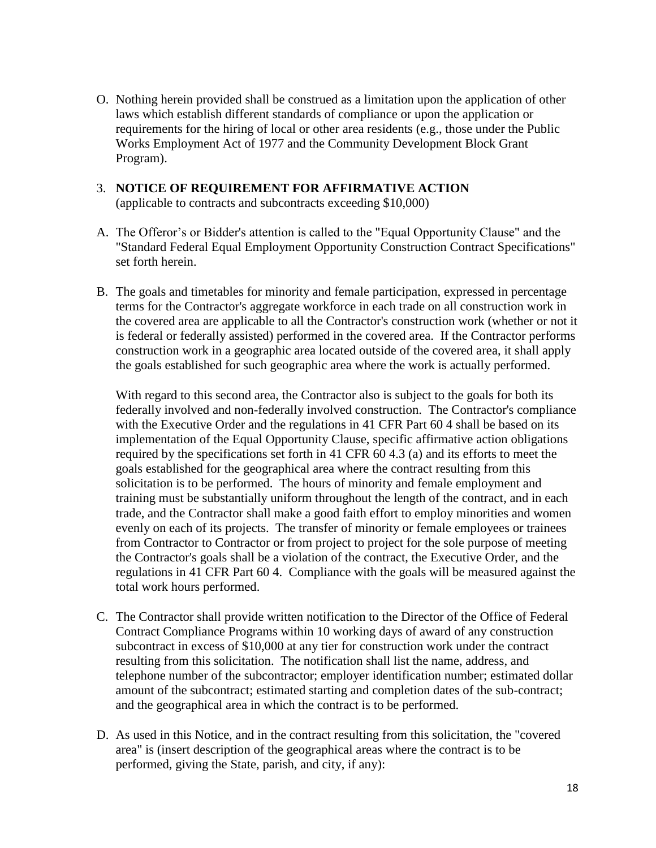O. Nothing herein provided shall be construed as a limitation upon the application of other laws which establish different standards of compliance or upon the application or requirements for the hiring of local or other area residents (e.g., those under the Public Works Employment Act of 1977 and the Community Development Block Grant Program).

# 3. **NOTICE OF REQUIREMENT FOR AFFIRMATIVE ACTION**

(applicable to contracts and subcontracts exceeding \$10,000)

- A. The Offeror's or Bidder's attention is called to the "Equal Opportunity Clause" and the "Standard Federal Equal Employment Opportunity Construction Contract Specifications" set forth herein.
- B. The goals and timetables for minority and female participation, expressed in percentage terms for the Contractor's aggregate workforce in each trade on all construction work in the covered area are applicable to all the Contractor's construction work (whether or not it is federal or federally assisted) performed in the covered area. If the Contractor performs construction work in a geographic area located outside of the covered area, it shall apply the goals established for such geographic area where the work is actually performed.

With regard to this second area, the Contractor also is subject to the goals for both its federally involved and non-federally involved construction. The Contractor's compliance with the Executive Order and the regulations in 41 CFR Part 60 4 shall be based on its implementation of the Equal Opportunity Clause, specific affirmative action obligations required by the specifications set forth in 41 CFR 60 4.3 (a) and its efforts to meet the goals established for the geographical area where the contract resulting from this solicitation is to be performed. The hours of minority and female employment and training must be substantially uniform throughout the length of the contract, and in each trade, and the Contractor shall make a good faith effort to employ minorities and women evenly on each of its projects. The transfer of minority or female employees or trainees from Contractor to Contractor or from project to project for the sole purpose of meeting the Contractor's goals shall be a violation of the contract, the Executive Order, and the regulations in 41 CFR Part 60 4. Compliance with the goals will be measured against the total work hours performed.

- C. The Contractor shall provide written notification to the Director of the Office of Federal Contract Compliance Programs within 10 working days of award of any construction subcontract in excess of \$10,000 at any tier for construction work under the contract resulting from this solicitation. The notification shall list the name, address, and telephone number of the subcontractor; employer identification number; estimated dollar amount of the subcontract; estimated starting and completion dates of the sub-contract; and the geographical area in which the contract is to be performed.
- D. As used in this Notice, and in the contract resulting from this solicitation, the "covered area" is (insert description of the geographical areas where the contract is to be performed, giving the State, parish, and city, if any):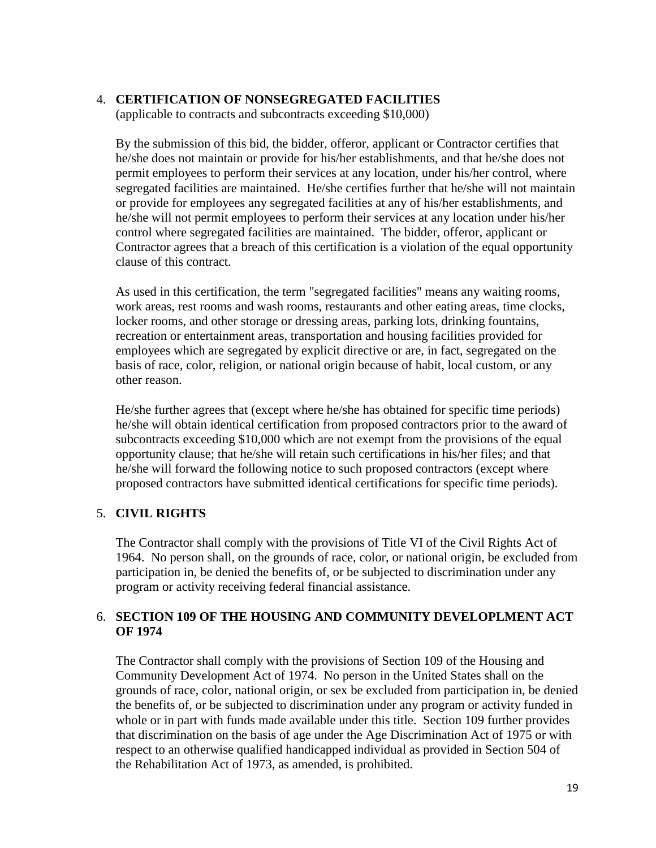#### 4. **CERTIFICATION OF NONSEGREGATED FACILITIES**

(applicable to contracts and subcontracts exceeding \$10,000)

By the submission of this bid, the bidder, offeror, applicant or Contractor certifies that he/she does not maintain or provide for his/her establishments, and that he/she does not permit employees to perform their services at any location, under his/her control, where segregated facilities are maintained. He/she certifies further that he/she will not maintain or provide for employees any segregated facilities at any of his/her establishments, and he/she will not permit employees to perform their services at any location under his/her control where segregated facilities are maintained. The bidder, offeror, applicant or Contractor agrees that a breach of this certification is a violation of the equal opportunity clause of this contract.

As used in this certification, the term "segregated facilities" means any waiting rooms, work areas, rest rooms and wash rooms, restaurants and other eating areas, time clocks, locker rooms, and other storage or dressing areas, parking lots, drinking fountains, recreation or entertainment areas, transportation and housing facilities provided for employees which are segregated by explicit directive or are, in fact, segregated on the basis of race, color, religion, or national origin because of habit, local custom, or any other reason.

He/she further agrees that (except where he/she has obtained for specific time periods) he/she will obtain identical certification from proposed contractors prior to the award of subcontracts exceeding \$10,000 which are not exempt from the provisions of the equal opportunity clause; that he/she will retain such certifications in his/her files; and that he/she will forward the following notice to such proposed contractors (except where proposed contractors have submitted identical certifications for specific time periods).

## 5. **CIVIL RIGHTS**

The Contractor shall comply with the provisions of Title VI of the Civil Rights Act of 1964. No person shall, on the grounds of race, color, or national origin, be excluded from participation in, be denied the benefits of, or be subjected to discrimination under any program or activity receiving federal financial assistance.

## 6. **SECTION 109 OF THE HOUSING AND COMMUNITY DEVELOPLMENT ACT OF 1974**

The Contractor shall comply with the provisions of Section 109 of the Housing and Community Development Act of 1974. No person in the United States shall on the grounds of race, color, national origin, or sex be excluded from participation in, be denied the benefits of, or be subjected to discrimination under any program or activity funded in whole or in part with funds made available under this title. Section 109 further provides that discrimination on the basis of age under the Age Discrimination Act of 1975 or with respect to an otherwise qualified handicapped individual as provided in Section 504 of the Rehabilitation Act of 1973, as amended, is prohibited.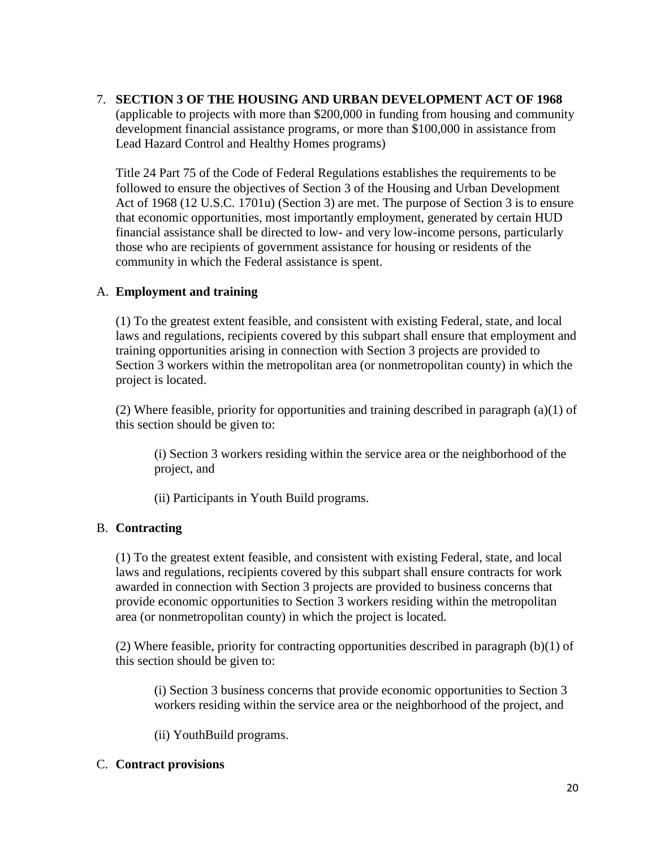# 7. **SECTION 3 OF THE HOUSING AND URBAN DEVELOPMENT ACT OF 1968**

(applicable to projects with more than \$200,000 in funding from housing and community development financial assistance programs, or more than \$100,000 in assistance from Lead Hazard Control and Healthy Homes programs)

Title 24 Part 75 of the Code of Federal Regulations establishes the requirements to be followed to ensure the objectives of Section 3 of the Housing and Urban Development Act of 1968 (12 U.S.C. 1701u) (Section 3) are met. The purpose of Section 3 is to ensure that economic opportunities, most importantly employment, generated by certain HUD financial assistance shall be directed to low- and very low-income persons, particularly those who are recipients of government assistance for housing or residents of the community in which the Federal assistance is spent.

#### A. **Employment and training**

(1) To the greatest extent feasible, and consistent with existing Federal, state, and local laws and regulations, recipients covered by this subpart shall ensure that employment and training opportunities arising in connection with Section 3 projects are provided to Section 3 workers within the metropolitan area (or nonmetropolitan county) in which the project is located.

(2) Where feasible, priority for opportunities and training described in paragraph (a)(1) of this section should be given to:

(i) Section 3 workers residing within the service area or the neighborhood of the project, and

(ii) Participants in Youth Build programs.

## B. **Contracting**

(1) To the greatest extent feasible, and consistent with existing Federal, state, and local laws and regulations, recipients covered by this subpart shall ensure contracts for work awarded in connection with Section 3 projects are provided to business concerns that provide economic opportunities to Section 3 workers residing within the metropolitan area (or nonmetropolitan county) in which the project is located.

(2) Where feasible, priority for contracting opportunities described in paragraph (b)(1) of this section should be given to:

(i) Section 3 business concerns that provide economic opportunities to Section 3 workers residing within the service area or the neighborhood of the project, and

(ii) YouthBuild programs.

#### C. **Contract provisions**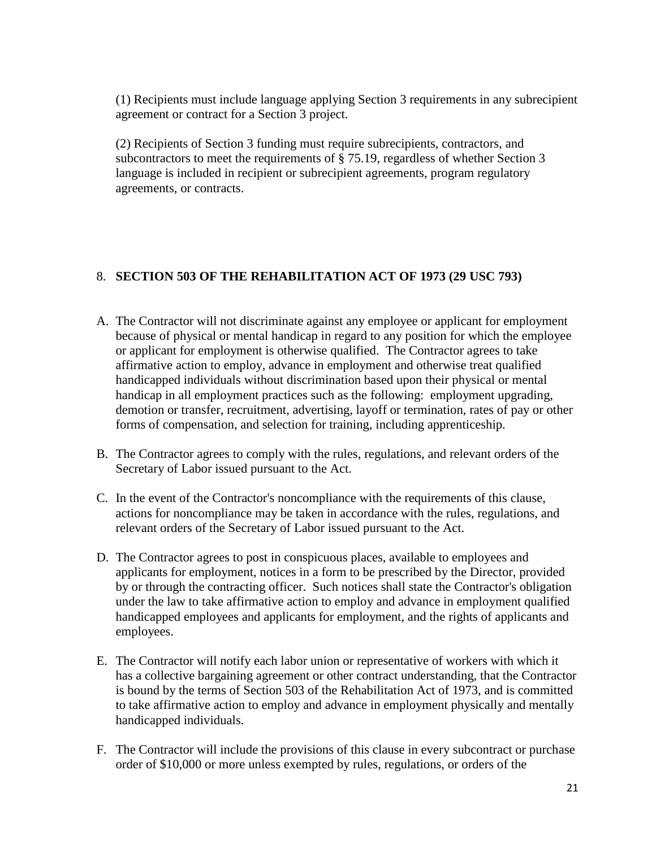(1) Recipients must include language applying Section 3 requirements in any subrecipient agreement or contract for a Section 3 project.

(2) Recipients of Section 3 funding must require subrecipients, contractors, and subcontractors to meet the requirements of § 75.19, regardless of whether Section 3 language is included in recipient or subrecipient agreements, program regulatory agreements, or contracts.

# 8. **SECTION 503 OF THE REHABILITATION ACT OF 1973 (29 USC 793)**

- A. The Contractor will not discriminate against any employee or applicant for employment because of physical or mental handicap in regard to any position for which the employee or applicant for employment is otherwise qualified. The Contractor agrees to take affirmative action to employ, advance in employment and otherwise treat qualified handicapped individuals without discrimination based upon their physical or mental handicap in all employment practices such as the following: employment upgrading, demotion or transfer, recruitment, advertising, layoff or termination, rates of pay or other forms of compensation, and selection for training, including apprenticeship.
- B. The Contractor agrees to comply with the rules, regulations, and relevant orders of the Secretary of Labor issued pursuant to the Act.
- C. In the event of the Contractor's noncompliance with the requirements of this clause, actions for noncompliance may be taken in accordance with the rules, regulations, and relevant orders of the Secretary of Labor issued pursuant to the Act.
- D. The Contractor agrees to post in conspicuous places, available to employees and applicants for employment, notices in a form to be prescribed by the Director, provided by or through the contracting officer. Such notices shall state the Contractor's obligation under the law to take affirmative action to employ and advance in employment qualified handicapped employees and applicants for employment, and the rights of applicants and employees.
- E. The Contractor will notify each labor union or representative of workers with which it has a collective bargaining agreement or other contract understanding, that the Contractor is bound by the terms of Section 503 of the Rehabilitation Act of 1973, and is committed to take affirmative action to employ and advance in employment physically and mentally handicapped individuals.
- F. The Contractor will include the provisions of this clause in every subcontract or purchase order of \$10,000 or more unless exempted by rules, regulations, or orders of the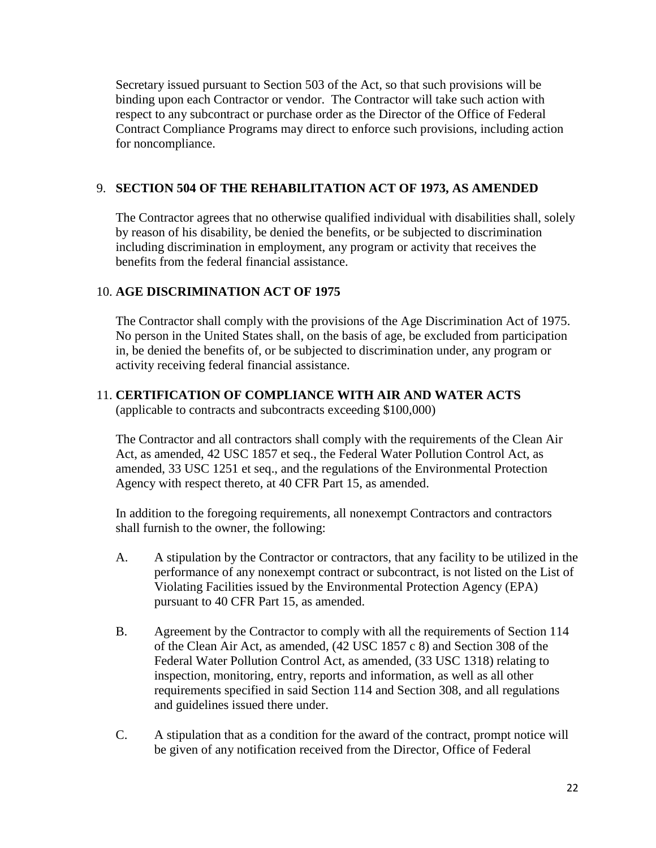Secretary issued pursuant to Section 503 of the Act, so that such provisions will be binding upon each Contractor or vendor. The Contractor will take such action with respect to any subcontract or purchase order as the Director of the Office of Federal Contract Compliance Programs may direct to enforce such provisions, including action for noncompliance.

## 9. **SECTION 504 OF THE REHABILITATION ACT OF 1973, AS AMENDED**

The Contractor agrees that no otherwise qualified individual with disabilities shall, solely by reason of his disability, be denied the benefits, or be subjected to discrimination including discrimination in employment, any program or activity that receives the benefits from the federal financial assistance.

# 10. **AGE DISCRIMINATION ACT OF 1975**

The Contractor shall comply with the provisions of the Age Discrimination Act of 1975. No person in the United States shall, on the basis of age, be excluded from participation in, be denied the benefits of, or be subjected to discrimination under, any program or activity receiving federal financial assistance.

#### 11. **CERTIFICATION OF COMPLIANCE WITH AIR AND WATER ACTS** (applicable to contracts and subcontracts exceeding \$100,000)

The Contractor and all contractors shall comply with the requirements of the Clean Air Act, as amended, 42 USC 1857 et seq., the Federal Water Pollution Control Act, as amended, 33 USC 1251 et seq., and the regulations of the Environmental Protection Agency with respect thereto, at 40 CFR Part 15, as amended.

In addition to the foregoing requirements, all nonexempt Contractors and contractors shall furnish to the owner, the following:

- A. A stipulation by the Contractor or contractors, that any facility to be utilized in the performance of any nonexempt contract or subcontract, is not listed on the List of Violating Facilities issued by the Environmental Protection Agency (EPA) pursuant to 40 CFR Part 15, as amended.
- B. Agreement by the Contractor to comply with all the requirements of Section 114 of the Clean Air Act, as amended, (42 USC 1857 c 8) and Section 308 of the Federal Water Pollution Control Act, as amended, (33 USC 1318) relating to inspection, monitoring, entry, reports and information, as well as all other requirements specified in said Section 114 and Section 308, and all regulations and guidelines issued there under.
- C. A stipulation that as a condition for the award of the contract, prompt notice will be given of any notification received from the Director, Office of Federal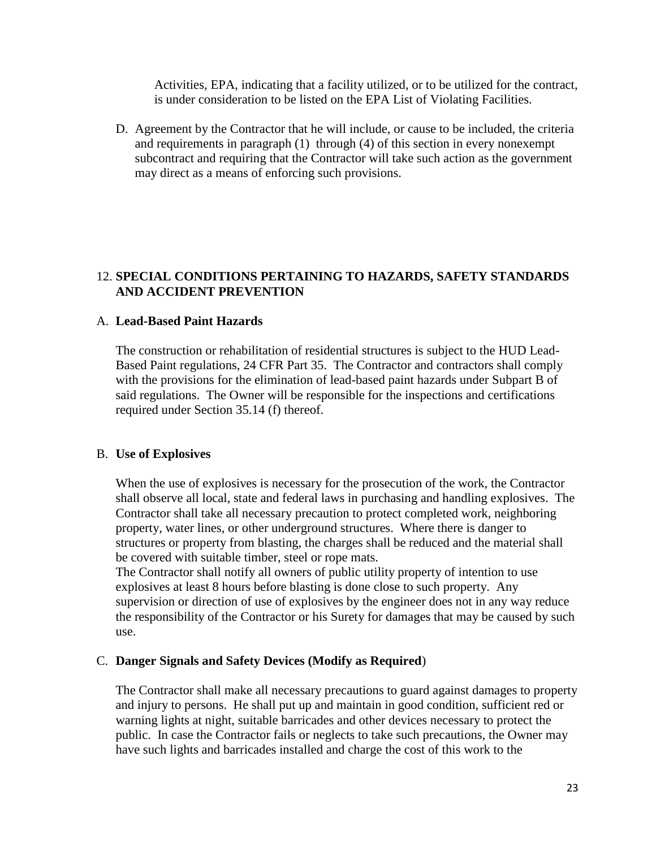Activities, EPA, indicating that a facility utilized, or to be utilized for the contract, is under consideration to be listed on the EPA List of Violating Facilities.

D. Agreement by the Contractor that he will include, or cause to be included, the criteria and requirements in paragraph (1) through (4) of this section in every nonexempt subcontract and requiring that the Contractor will take such action as the government may direct as a means of enforcing such provisions.

#### 12. **SPECIAL CONDITIONS PERTAINING TO HAZARDS, SAFETY STANDARDS AND ACCIDENT PREVENTION**

#### A. **Lead-Based Paint Hazards**

The construction or rehabilitation of residential structures is subject to the HUD Lead-Based Paint regulations, 24 CFR Part 35. The Contractor and contractors shall comply with the provisions for the elimination of lead-based paint hazards under Subpart B of said regulations. The Owner will be responsible for the inspections and certifications required under Section 35.14 (f) thereof.

#### B. **Use of Explosives**

When the use of explosives is necessary for the prosecution of the work, the Contractor shall observe all local, state and federal laws in purchasing and handling explosives. The Contractor shall take all necessary precaution to protect completed work, neighboring property, water lines, or other underground structures. Where there is danger to structures or property from blasting, the charges shall be reduced and the material shall be covered with suitable timber, steel or rope mats.

The Contractor shall notify all owners of public utility property of intention to use explosives at least 8 hours before blasting is done close to such property. Any supervision or direction of use of explosives by the engineer does not in any way reduce the responsibility of the Contractor or his Surety for damages that may be caused by such use.

#### C. **Danger Signals and Safety Devices (Modify as Required**)

The Contractor shall make all necessary precautions to guard against damages to property and injury to persons. He shall put up and maintain in good condition, sufficient red or warning lights at night, suitable barricades and other devices necessary to protect the public. In case the Contractor fails or neglects to take such precautions, the Owner may have such lights and barricades installed and charge the cost of this work to the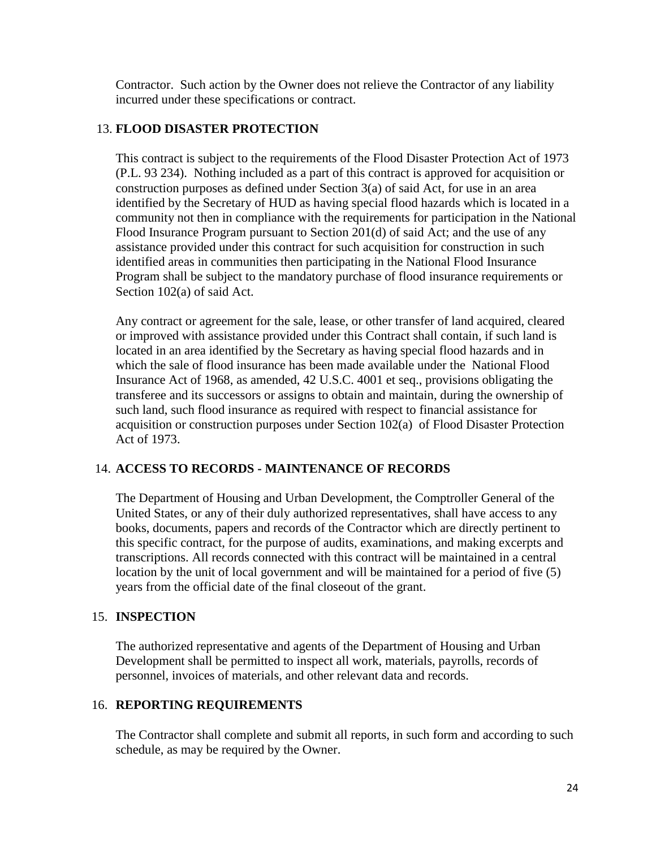Contractor. Such action by the Owner does not relieve the Contractor of any liability incurred under these specifications or contract.

## 13. **FLOOD DISASTER PROTECTION**

This contract is subject to the requirements of the Flood Disaster Protection Act of 1973 (P.L. 93 234). Nothing included as a part of this contract is approved for acquisition or construction purposes as defined under Section 3(a) of said Act, for use in an area identified by the Secretary of HUD as having special flood hazards which is located in a community not then in compliance with the requirements for participation in the National Flood Insurance Program pursuant to Section 201(d) of said Act; and the use of any assistance provided under this contract for such acquisition for construction in such identified areas in communities then participating in the National Flood Insurance Program shall be subject to the mandatory purchase of flood insurance requirements or Section 102(a) of said Act.

Any contract or agreement for the sale, lease, or other transfer of land acquired, cleared or improved with assistance provided under this Contract shall contain, if such land is located in an area identified by the Secretary as having special flood hazards and in which the sale of flood insurance has been made available under the National Flood Insurance Act of 1968, as amended, 42 U.S.C. 4001 et seq., provisions obligating the transferee and its successors or assigns to obtain and maintain, during the ownership of such land, such flood insurance as required with respect to financial assistance for acquisition or construction purposes under Section 102(a) of Flood Disaster Protection Act of 1973.

## 14. **ACCESS TO RECORDS - MAINTENANCE OF RECORDS**

The Department of Housing and Urban Development, the Comptroller General of the United States, or any of their duly authorized representatives, shall have access to any books, documents, papers and records of the Contractor which are directly pertinent to this specific contract, for the purpose of audits, examinations, and making excerpts and transcriptions. All records connected with this contract will be maintained in a central location by the unit of local government and will be maintained for a period of five (5) years from the official date of the final closeout of the grant.

## 15. **INSPECTION**

The authorized representative and agents of the Department of Housing and Urban Development shall be permitted to inspect all work, materials, payrolls, records of personnel, invoices of materials, and other relevant data and records.

## 16. **REPORTING REQUIREMENTS**

The Contractor shall complete and submit all reports, in such form and according to such schedule, as may be required by the Owner.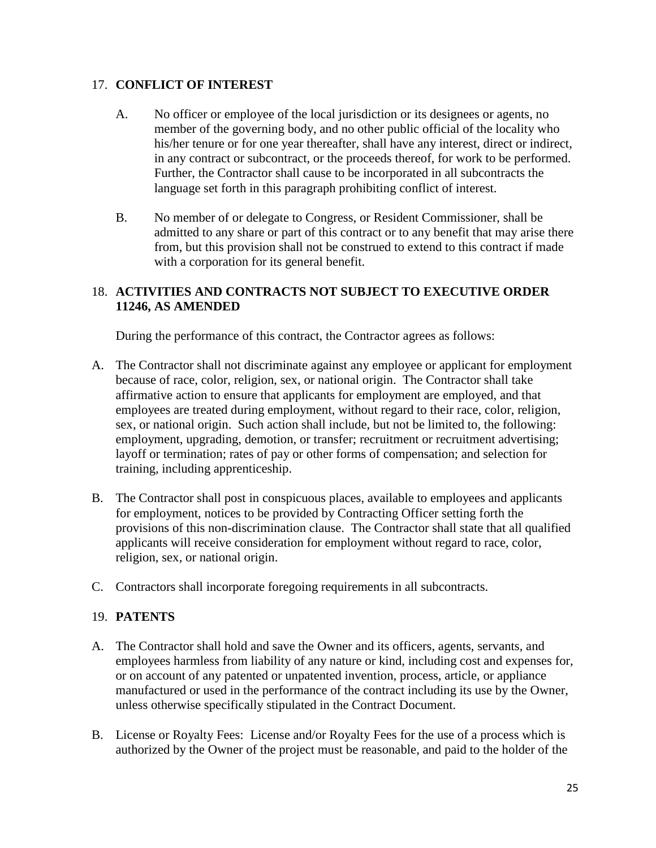## 17. **CONFLICT OF INTEREST**

- A. No officer or employee of the local jurisdiction or its designees or agents, no member of the governing body, and no other public official of the locality who his/her tenure or for one year thereafter, shall have any interest, direct or indirect, in any contract or subcontract, or the proceeds thereof, for work to be performed. Further, the Contractor shall cause to be incorporated in all subcontracts the language set forth in this paragraph prohibiting conflict of interest.
- B. No member of or delegate to Congress, or Resident Commissioner, shall be admitted to any share or part of this contract or to any benefit that may arise there from, but this provision shall not be construed to extend to this contract if made with a corporation for its general benefit.

# 18. **ACTIVITIES AND CONTRACTS NOT SUBJECT TO EXECUTIVE ORDER 11246, AS AMENDED**

During the performance of this contract, the Contractor agrees as follows:

- A. The Contractor shall not discriminate against any employee or applicant for employment because of race, color, religion, sex, or national origin. The Contractor shall take affirmative action to ensure that applicants for employment are employed, and that employees are treated during employment, without regard to their race, color, religion, sex, or national origin. Such action shall include, but not be limited to, the following: employment, upgrading, demotion, or transfer; recruitment or recruitment advertising; layoff or termination; rates of pay or other forms of compensation; and selection for training, including apprenticeship.
- B. The Contractor shall post in conspicuous places, available to employees and applicants for employment, notices to be provided by Contracting Officer setting forth the provisions of this non-discrimination clause. The Contractor shall state that all qualified applicants will receive consideration for employment without regard to race, color, religion, sex, or national origin.
- C. Contractors shall incorporate foregoing requirements in all subcontracts.

## 19. **PATENTS**

- A. The Contractor shall hold and save the Owner and its officers, agents, servants, and employees harmless from liability of any nature or kind, including cost and expenses for, or on account of any patented or unpatented invention, process, article, or appliance manufactured or used in the performance of the contract including its use by the Owner, unless otherwise specifically stipulated in the Contract Document.
- B. License or Royalty Fees: License and/or Royalty Fees for the use of a process which is authorized by the Owner of the project must be reasonable, and paid to the holder of the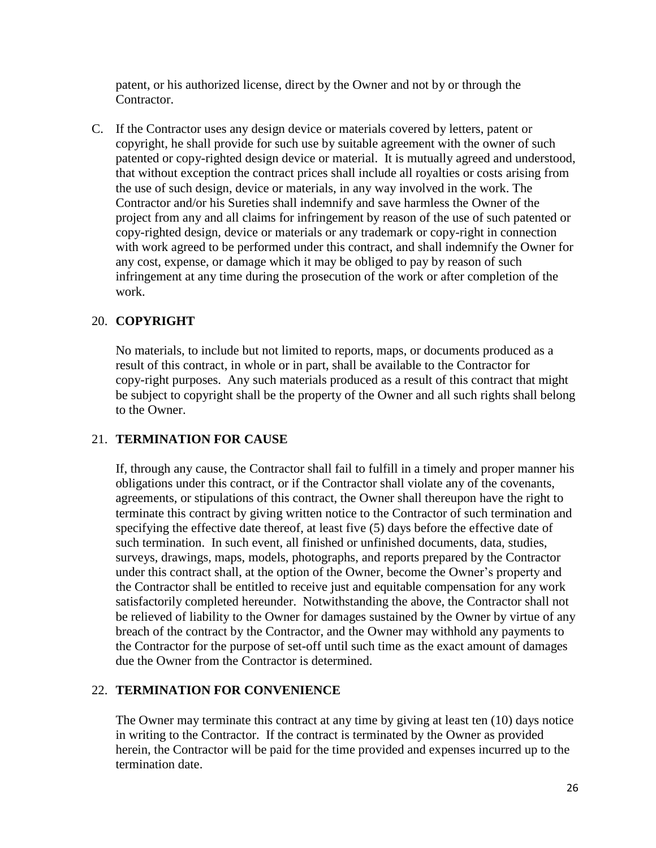patent, or his authorized license, direct by the Owner and not by or through the Contractor.

C. If the Contractor uses any design device or materials covered by letters, patent or copyright, he shall provide for such use by suitable agreement with the owner of such patented or copy-righted design device or material. It is mutually agreed and understood, that without exception the contract prices shall include all royalties or costs arising from the use of such design, device or materials, in any way involved in the work. The Contractor and/or his Sureties shall indemnify and save harmless the Owner of the project from any and all claims for infringement by reason of the use of such patented or copy-righted design, device or materials or any trademark or copy-right in connection with work agreed to be performed under this contract, and shall indemnify the Owner for any cost, expense, or damage which it may be obliged to pay by reason of such infringement at any time during the prosecution of the work or after completion of the work.

## 20. **COPYRIGHT**

No materials, to include but not limited to reports, maps, or documents produced as a result of this contract, in whole or in part, shall be available to the Contractor for copy-right purposes. Any such materials produced as a result of this contract that might be subject to copyright shall be the property of the Owner and all such rights shall belong to the Owner.

## 21. **TERMINATION FOR CAUSE**

If, through any cause, the Contractor shall fail to fulfill in a timely and proper manner his obligations under this contract, or if the Contractor shall violate any of the covenants, agreements, or stipulations of this contract, the Owner shall thereupon have the right to terminate this contract by giving written notice to the Contractor of such termination and specifying the effective date thereof, at least five (5) days before the effective date of such termination. In such event, all finished or unfinished documents, data, studies, surveys, drawings, maps, models, photographs, and reports prepared by the Contractor under this contract shall, at the option of the Owner, become the Owner's property and the Contractor shall be entitled to receive just and equitable compensation for any work satisfactorily completed hereunder. Notwithstanding the above, the Contractor shall not be relieved of liability to the Owner for damages sustained by the Owner by virtue of any breach of the contract by the Contractor, and the Owner may withhold any payments to the Contractor for the purpose of set-off until such time as the exact amount of damages due the Owner from the Contractor is determined.

## 22. **TERMINATION FOR CONVENIENCE**

The Owner may terminate this contract at any time by giving at least ten (10) days notice in writing to the Contractor. If the contract is terminated by the Owner as provided herein, the Contractor will be paid for the time provided and expenses incurred up to the termination date.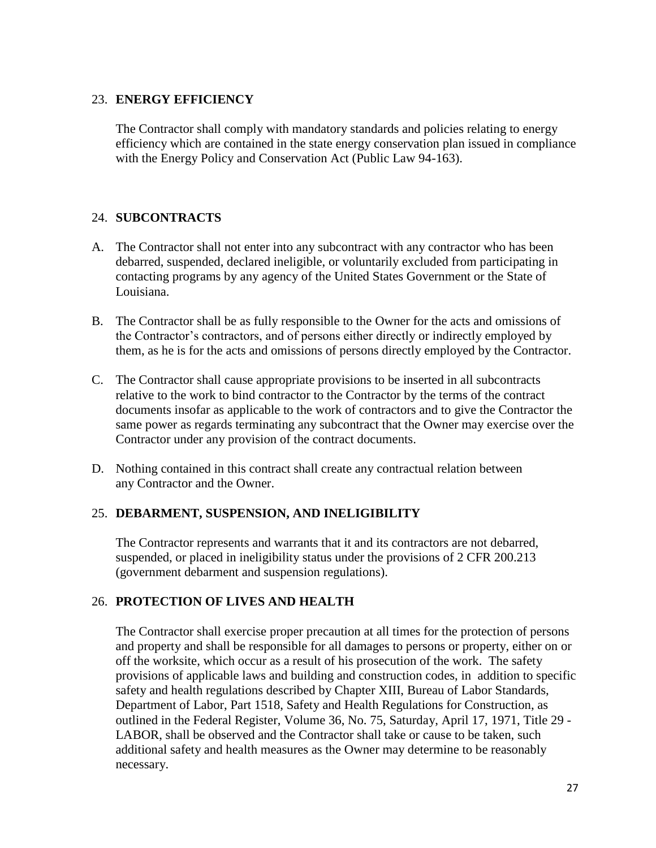#### 23. **ENERGY EFFICIENCY**

The Contractor shall comply with mandatory standards and policies relating to energy efficiency which are contained in the state energy conservation plan issued in compliance with the Energy Policy and Conservation Act (Public Law 94-163).

## 24. **SUBCONTRACTS**

- A. The Contractor shall not enter into any subcontract with any contractor who has been debarred, suspended, declared ineligible, or voluntarily excluded from participating in contacting programs by any agency of the United States Government or the State of Louisiana.
- B. The Contractor shall be as fully responsible to the Owner for the acts and omissions of the Contractor's contractors, and of persons either directly or indirectly employed by them, as he is for the acts and omissions of persons directly employed by the Contractor.
- C. The Contractor shall cause appropriate provisions to be inserted in all subcontracts relative to the work to bind contractor to the Contractor by the terms of the contract documents insofar as applicable to the work of contractors and to give the Contractor the same power as regards terminating any subcontract that the Owner may exercise over the Contractor under any provision of the contract documents.
- D. Nothing contained in this contract shall create any contractual relation between any Contractor and the Owner.

## 25. **DEBARMENT, SUSPENSION, AND INELIGIBILITY**

The Contractor represents and warrants that it and its contractors are not debarred, suspended, or placed in ineligibility status under the provisions of 2 CFR 200.213 (government debarment and suspension regulations).

## 26. **PROTECTION OF LIVES AND HEALTH**

The Contractor shall exercise proper precaution at all times for the protection of persons and property and shall be responsible for all damages to persons or property, either on or off the worksite, which occur as a result of his prosecution of the work. The safety provisions of applicable laws and building and construction codes, in addition to specific safety and health regulations described by Chapter XIII, Bureau of Labor Standards, Department of Labor, Part 1518, Safety and Health Regulations for Construction, as outlined in the Federal Register, Volume 36, No. 75, Saturday, April 17, 1971, Title 29 - LABOR, shall be observed and the Contractor shall take or cause to be taken, such additional safety and health measures as the Owner may determine to be reasonably necessary.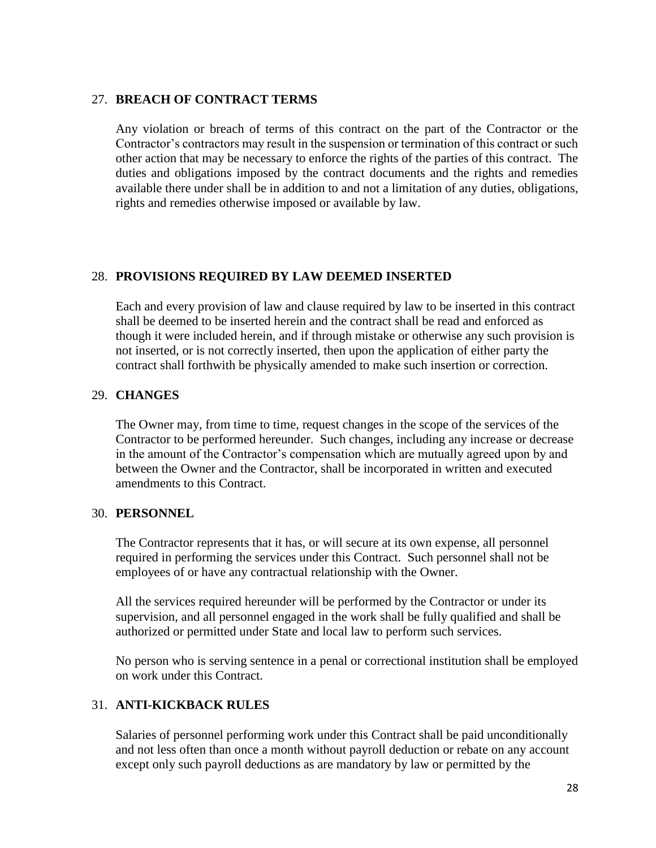#### 27. **BREACH OF CONTRACT TERMS**

Any violation or breach of terms of this contract on the part of the Contractor or the Contractor's contractors may result in the suspension or termination of this contract or such other action that may be necessary to enforce the rights of the parties of this contract. The duties and obligations imposed by the contract documents and the rights and remedies available there under shall be in addition to and not a limitation of any duties, obligations, rights and remedies otherwise imposed or available by law.

#### 28. **PROVISIONS REQUIRED BY LAW DEEMED INSERTED**

Each and every provision of law and clause required by law to be inserted in this contract shall be deemed to be inserted herein and the contract shall be read and enforced as though it were included herein, and if through mistake or otherwise any such provision is not inserted, or is not correctly inserted, then upon the application of either party the contract shall forthwith be physically amended to make such insertion or correction.

#### 29. **CHANGES**

The Owner may, from time to time, request changes in the scope of the services of the Contractor to be performed hereunder. Such changes, including any increase or decrease in the amount of the Contractor's compensation which are mutually agreed upon by and between the Owner and the Contractor, shall be incorporated in written and executed amendments to this Contract.

#### 30. **PERSONNEL**

The Contractor represents that it has, or will secure at its own expense, all personnel required in performing the services under this Contract. Such personnel shall not be employees of or have any contractual relationship with the Owner.

All the services required hereunder will be performed by the Contractor or under its supervision, and all personnel engaged in the work shall be fully qualified and shall be authorized or permitted under State and local law to perform such services.

No person who is serving sentence in a penal or correctional institution shall be employed on work under this Contract.

## 31. **ANTI-KICKBACK RULES**

Salaries of personnel performing work under this Contract shall be paid unconditionally and not less often than once a month without payroll deduction or rebate on any account except only such payroll deductions as are mandatory by law or permitted by the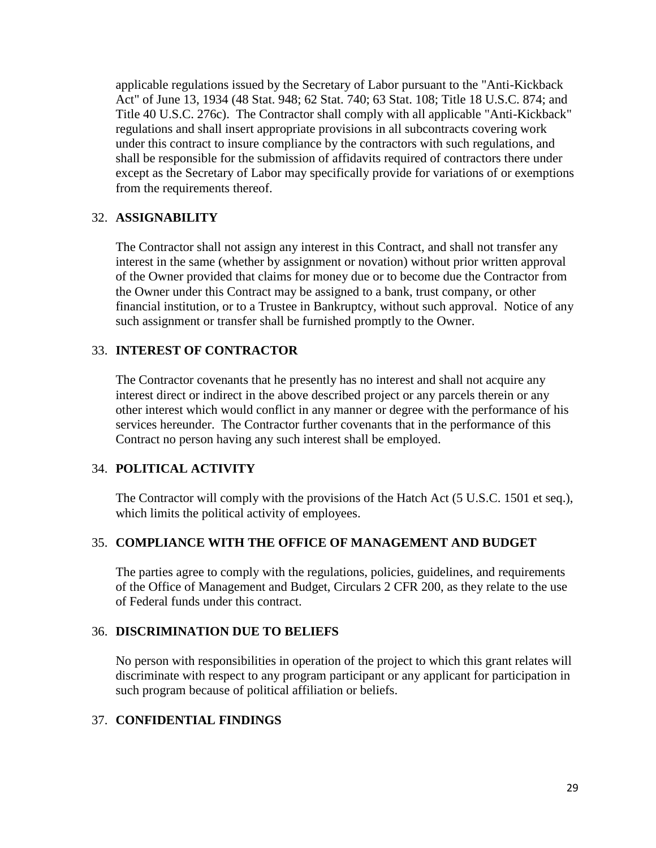applicable regulations issued by the Secretary of Labor pursuant to the "Anti-Kickback Act" of June 13, 1934 (48 Stat. 948; 62 Stat. 740; 63 Stat. 108; Title 18 U.S.C. 874; and Title 40 U.S.C. 276c). The Contractor shall comply with all applicable "Anti-Kickback" regulations and shall insert appropriate provisions in all subcontracts covering work under this contract to insure compliance by the contractors with such regulations, and shall be responsible for the submission of affidavits required of contractors there under except as the Secretary of Labor may specifically provide for variations of or exemptions from the requirements thereof.

#### 32. **ASSIGNABILITY**

The Contractor shall not assign any interest in this Contract, and shall not transfer any interest in the same (whether by assignment or novation) without prior written approval of the Owner provided that claims for money due or to become due the Contractor from the Owner under this Contract may be assigned to a bank, trust company, or other financial institution, or to a Trustee in Bankruptcy, without such approval. Notice of any such assignment or transfer shall be furnished promptly to the Owner.

#### 33. **INTEREST OF CONTRACTOR**

The Contractor covenants that he presently has no interest and shall not acquire any interest direct or indirect in the above described project or any parcels therein or any other interest which would conflict in any manner or degree with the performance of his services hereunder. The Contractor further covenants that in the performance of this Contract no person having any such interest shall be employed.

## 34. **POLITICAL ACTIVITY**

The Contractor will comply with the provisions of the Hatch Act (5 U.S.C. 1501 et seq.), which limits the political activity of employees.

## 35. **COMPLIANCE WITH THE OFFICE OF MANAGEMENT AND BUDGET**

The parties agree to comply with the regulations, policies, guidelines, and requirements of the Office of Management and Budget, Circulars 2 CFR 200, as they relate to the use of Federal funds under this contract.

#### 36. **DISCRIMINATION DUE TO BELIEFS**

No person with responsibilities in operation of the project to which this grant relates will discriminate with respect to any program participant or any applicant for participation in such program because of political affiliation or beliefs.

#### 37. **CONFIDENTIAL FINDINGS**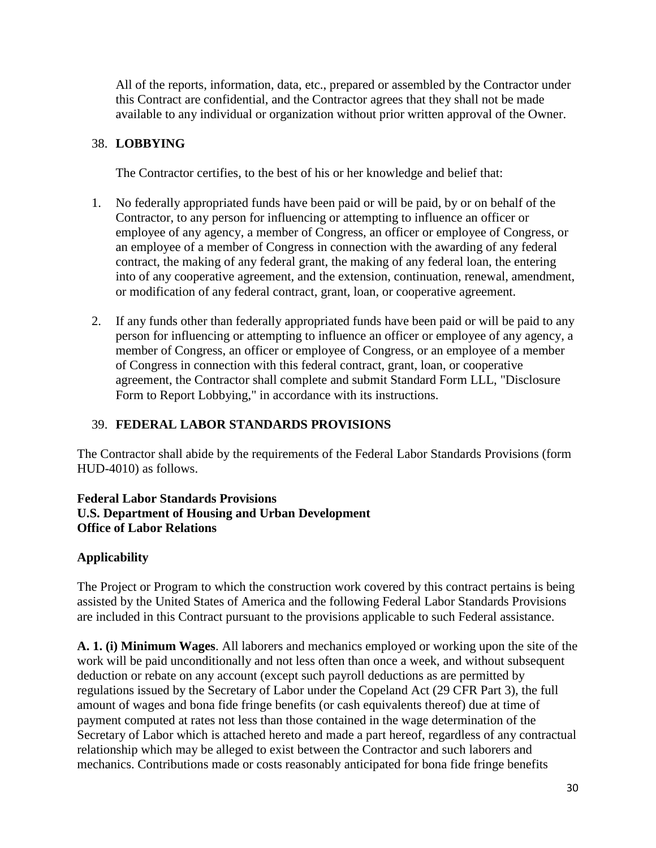All of the reports, information, data, etc., prepared or assembled by the Contractor under this Contract are confidential, and the Contractor agrees that they shall not be made available to any individual or organization without prior written approval of the Owner.

## 38. **LOBBYING**

The Contractor certifies, to the best of his or her knowledge and belief that:

- 1. No federally appropriated funds have been paid or will be paid, by or on behalf of the Contractor, to any person for influencing or attempting to influence an officer or employee of any agency, a member of Congress, an officer or employee of Congress, or an employee of a member of Congress in connection with the awarding of any federal contract, the making of any federal grant, the making of any federal loan, the entering into of any cooperative agreement, and the extension, continuation, renewal, amendment, or modification of any federal contract, grant, loan, or cooperative agreement.
- 2. If any funds other than federally appropriated funds have been paid or will be paid to any person for influencing or attempting to influence an officer or employee of any agency, a member of Congress, an officer or employee of Congress, or an employee of a member of Congress in connection with this federal contract, grant, loan, or cooperative agreement, the Contractor shall complete and submit Standard Form LLL, "Disclosure Form to Report Lobbying," in accordance with its instructions.

## 39. **FEDERAL LABOR STANDARDS PROVISIONS**

The Contractor shall abide by the requirements of the Federal Labor Standards Provisions (form HUD-4010) as follows.

#### **Federal Labor Standards Provisions U.S. Department of Housing and Urban Development Office of Labor Relations**

## **Applicability**

The Project or Program to which the construction work covered by this contract pertains is being assisted by the United States of America and the following Federal Labor Standards Provisions are included in this Contract pursuant to the provisions applicable to such Federal assistance.

**A. 1. (i) Minimum Wages**. All laborers and mechanics employed or working upon the site of the work will be paid unconditionally and not less often than once a week, and without subsequent deduction or rebate on any account (except such payroll deductions as are permitted by regulations issued by the Secretary of Labor under the Copeland Act (29 CFR Part 3), the full amount of wages and bona fide fringe benefits (or cash equivalents thereof) due at time of payment computed at rates not less than those contained in the wage determination of the Secretary of Labor which is attached hereto and made a part hereof, regardless of any contractual relationship which may be alleged to exist between the Contractor and such laborers and mechanics. Contributions made or costs reasonably anticipated for bona fide fringe benefits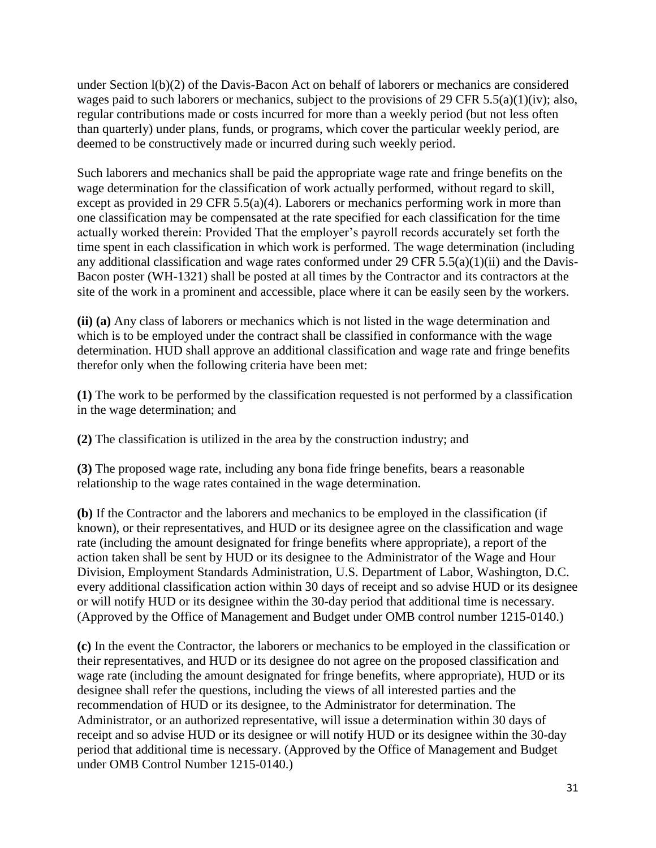under Section l(b)(2) of the Davis-Bacon Act on behalf of laborers or mechanics are considered wages paid to such laborers or mechanics, subject to the provisions of 29 CFR 5.5(a)(1)(iv); also, regular contributions made or costs incurred for more than a weekly period (but not less often than quarterly) under plans, funds, or programs, which cover the particular weekly period, are deemed to be constructively made or incurred during such weekly period.

Such laborers and mechanics shall be paid the appropriate wage rate and fringe benefits on the wage determination for the classification of work actually performed, without regard to skill, except as provided in 29 CFR 5.5(a)(4). Laborers or mechanics performing work in more than one classification may be compensated at the rate specified for each classification for the time actually worked therein: Provided That the employer's payroll records accurately set forth the time spent in each classification in which work is performed. The wage determination (including any additional classification and wage rates conformed under 29 CFR  $5.5(a)(1)(ii)$  and the Davis-Bacon poster (WH-1321) shall be posted at all times by the Contractor and its contractors at the site of the work in a prominent and accessible, place where it can be easily seen by the workers.

**(ii) (a)** Any class of laborers or mechanics which is not listed in the wage determination and which is to be employed under the contract shall be classified in conformance with the wage determination. HUD shall approve an additional classification and wage rate and fringe benefits therefor only when the following criteria have been met:

**(1)** The work to be performed by the classification requested is not performed by a classification in the wage determination; and

**(2)** The classification is utilized in the area by the construction industry; and

**(3)** The proposed wage rate, including any bona fide fringe benefits, bears a reasonable relationship to the wage rates contained in the wage determination.

**(b)** If the Contractor and the laborers and mechanics to be employed in the classification (if known), or their representatives, and HUD or its designee agree on the classification and wage rate (including the amount designated for fringe benefits where appropriate), a report of the action taken shall be sent by HUD or its designee to the Administrator of the Wage and Hour Division, Employment Standards Administration, U.S. Department of Labor, Washington, D.C. every additional classification action within 30 days of receipt and so advise HUD or its designee or will notify HUD or its designee within the 30-day period that additional time is necessary. (Approved by the Office of Management and Budget under OMB control number 1215-0140.)

**(c)** In the event the Contractor, the laborers or mechanics to be employed in the classification or their representatives, and HUD or its designee do not agree on the proposed classification and wage rate (including the amount designated for fringe benefits, where appropriate), HUD or its designee shall refer the questions, including the views of all interested parties and the recommendation of HUD or its designee, to the Administrator for determination. The Administrator, or an authorized representative, will issue a determination within 30 days of receipt and so advise HUD or its designee or will notify HUD or its designee within the 30-day period that additional time is necessary. (Approved by the Office of Management and Budget under OMB Control Number 1215-0140.)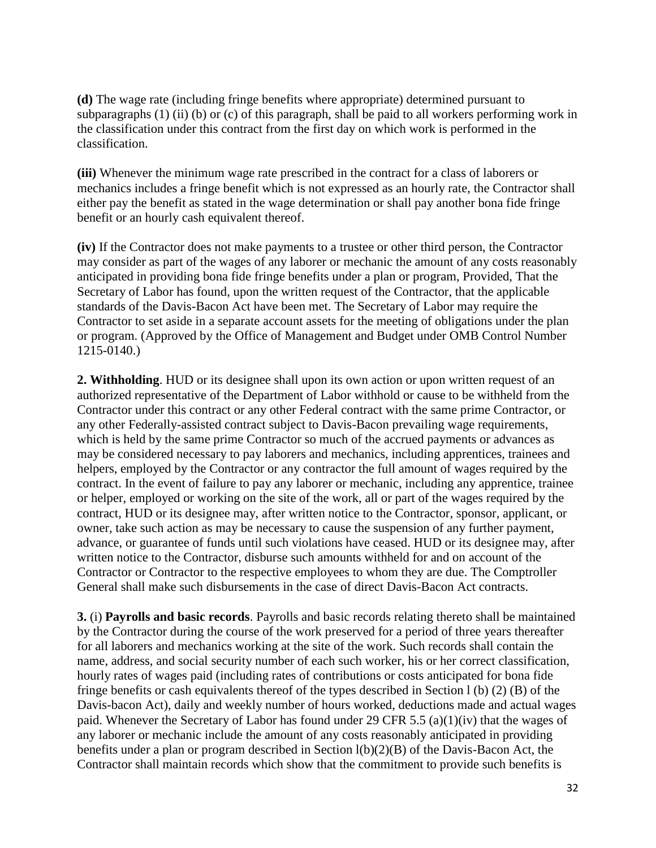**(d)** The wage rate (including fringe benefits where appropriate) determined pursuant to subparagraphs (1) (ii) (b) or (c) of this paragraph, shall be paid to all workers performing work in the classification under this contract from the first day on which work is performed in the classification.

**(iii)** Whenever the minimum wage rate prescribed in the contract for a class of laborers or mechanics includes a fringe benefit which is not expressed as an hourly rate, the Contractor shall either pay the benefit as stated in the wage determination or shall pay another bona fide fringe benefit or an hourly cash equivalent thereof.

**(iv)** If the Contractor does not make payments to a trustee or other third person, the Contractor may consider as part of the wages of any laborer or mechanic the amount of any costs reasonably anticipated in providing bona fide fringe benefits under a plan or program, Provided, That the Secretary of Labor has found, upon the written request of the Contractor, that the applicable standards of the Davis-Bacon Act have been met. The Secretary of Labor may require the Contractor to set aside in a separate account assets for the meeting of obligations under the plan or program. (Approved by the Office of Management and Budget under OMB Control Number 1215-0140.)

**2. Withholding**. HUD or its designee shall upon its own action or upon written request of an authorized representative of the Department of Labor withhold or cause to be withheld from the Contractor under this contract or any other Federal contract with the same prime Contractor, or any other Federally-assisted contract subject to Davis-Bacon prevailing wage requirements, which is held by the same prime Contractor so much of the accrued payments or advances as may be considered necessary to pay laborers and mechanics, including apprentices, trainees and helpers, employed by the Contractor or any contractor the full amount of wages required by the contract. In the event of failure to pay any laborer or mechanic, including any apprentice, trainee or helper, employed or working on the site of the work, all or part of the wages required by the contract, HUD or its designee may, after written notice to the Contractor, sponsor, applicant, or owner, take such action as may be necessary to cause the suspension of any further payment, advance, or guarantee of funds until such violations have ceased. HUD or its designee may, after written notice to the Contractor, disburse such amounts withheld for and on account of the Contractor or Contractor to the respective employees to whom they are due. The Comptroller General shall make such disbursements in the case of direct Davis-Bacon Act contracts.

**3.** (i) **Payrolls and basic records**. Payrolls and basic records relating thereto shall be maintained by the Contractor during the course of the work preserved for a period of three years thereafter for all laborers and mechanics working at the site of the work. Such records shall contain the name, address, and social security number of each such worker, his or her correct classification, hourly rates of wages paid (including rates of contributions or costs anticipated for bona fide fringe benefits or cash equivalents thereof of the types described in Section l (b) (2) (B) of the Davis-bacon Act), daily and weekly number of hours worked, deductions made and actual wages paid. Whenever the Secretary of Labor has found under 29 CFR 5.5 (a)(1)(iv) that the wages of any laborer or mechanic include the amount of any costs reasonably anticipated in providing benefits under a plan or program described in Section l(b)(2)(B) of the Davis-Bacon Act, the Contractor shall maintain records which show that the commitment to provide such benefits is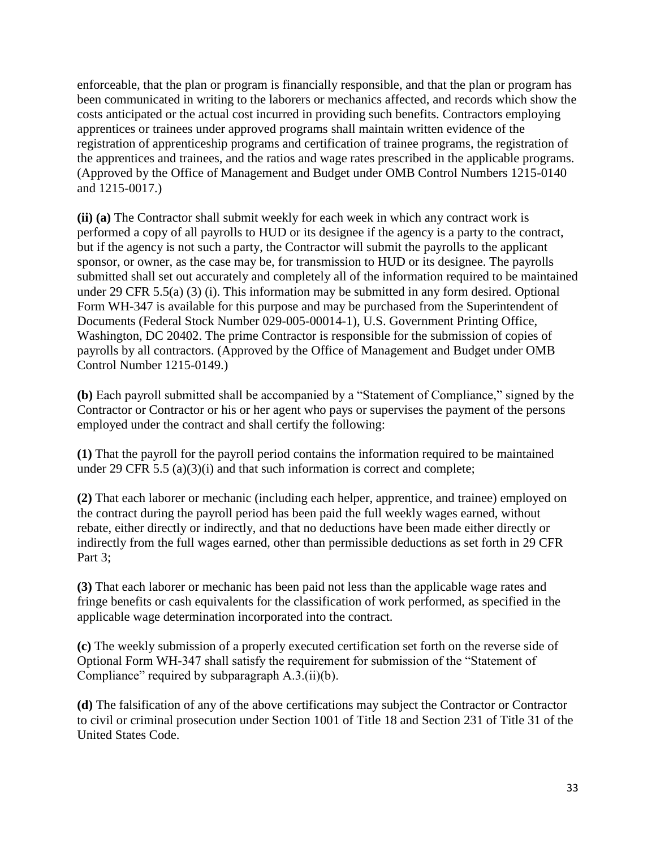enforceable, that the plan or program is financially responsible, and that the plan or program has been communicated in writing to the laborers or mechanics affected, and records which show the costs anticipated or the actual cost incurred in providing such benefits. Contractors employing apprentices or trainees under approved programs shall maintain written evidence of the registration of apprenticeship programs and certification of trainee programs, the registration of the apprentices and trainees, and the ratios and wage rates prescribed in the applicable programs. (Approved by the Office of Management and Budget under OMB Control Numbers 1215-0140 and 1215-0017.)

**(ii) (a)** The Contractor shall submit weekly for each week in which any contract work is performed a copy of all payrolls to HUD or its designee if the agency is a party to the contract, but if the agency is not such a party, the Contractor will submit the payrolls to the applicant sponsor, or owner, as the case may be, for transmission to HUD or its designee. The payrolls submitted shall set out accurately and completely all of the information required to be maintained under 29 CFR 5.5(a) (3) (i). This information may be submitted in any form desired. Optional Form WH-347 is available for this purpose and may be purchased from the Superintendent of Documents (Federal Stock Number 029-005-00014-1), U.S. Government Printing Office, Washington, DC 20402. The prime Contractor is responsible for the submission of copies of payrolls by all contractors. (Approved by the Office of Management and Budget under OMB Control Number 1215-0149.)

**(b)** Each payroll submitted shall be accompanied by a "Statement of Compliance," signed by the Contractor or Contractor or his or her agent who pays or supervises the payment of the persons employed under the contract and shall certify the following:

**(1)** That the payroll for the payroll period contains the information required to be maintained under 29 CFR 5.5 (a)(3)(i) and that such information is correct and complete;

**(2)** That each laborer or mechanic (including each helper, apprentice, and trainee) employed on the contract during the payroll period has been paid the full weekly wages earned, without rebate, either directly or indirectly, and that no deductions have been made either directly or indirectly from the full wages earned, other than permissible deductions as set forth in 29 CFR Part 3:

**(3)** That each laborer or mechanic has been paid not less than the applicable wage rates and fringe benefits or cash equivalents for the classification of work performed, as specified in the applicable wage determination incorporated into the contract.

**(c)** The weekly submission of a properly executed certification set forth on the reverse side of Optional Form WH-347 shall satisfy the requirement for submission of the "Statement of Compliance" required by subparagraph A.3.(ii)(b).

**(d)** The falsification of any of the above certifications may subject the Contractor or Contractor to civil or criminal prosecution under Section 1001 of Title 18 and Section 231 of Title 31 of the United States Code.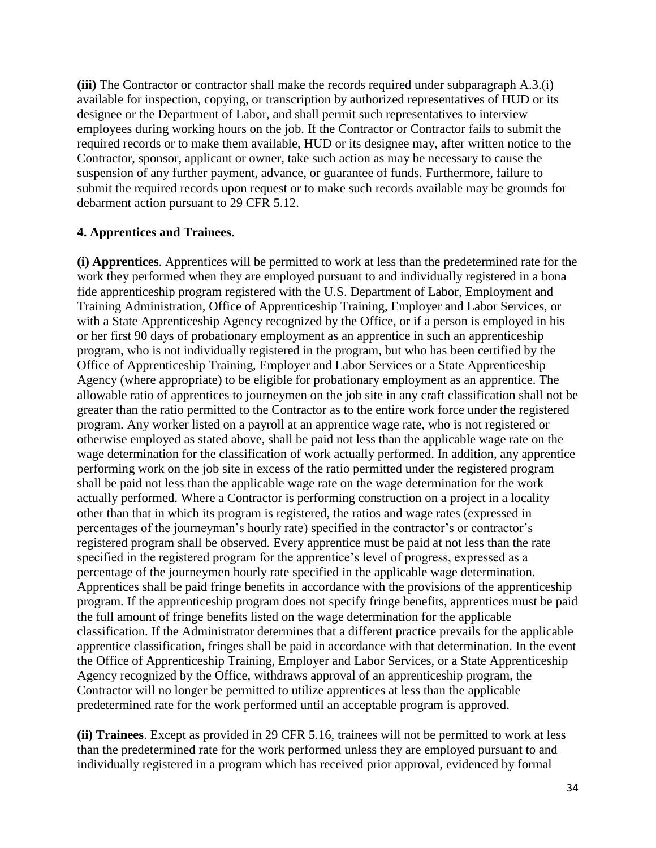**(iii)** The Contractor or contractor shall make the records required under subparagraph A.3.(i) available for inspection, copying, or transcription by authorized representatives of HUD or its designee or the Department of Labor, and shall permit such representatives to interview employees during working hours on the job. If the Contractor or Contractor fails to submit the required records or to make them available, HUD or its designee may, after written notice to the Contractor, sponsor, applicant or owner, take such action as may be necessary to cause the suspension of any further payment, advance, or guarantee of funds. Furthermore, failure to submit the required records upon request or to make such records available may be grounds for debarment action pursuant to 29 CFR 5.12.

## **4. Apprentices and Trainees**.

**(i) Apprentices**. Apprentices will be permitted to work at less than the predetermined rate for the work they performed when they are employed pursuant to and individually registered in a bona fide apprenticeship program registered with the U.S. Department of Labor, Employment and Training Administration, Office of Apprenticeship Training, Employer and Labor Services, or with a State Apprenticeship Agency recognized by the Office, or if a person is employed in his or her first 90 days of probationary employment as an apprentice in such an apprenticeship program, who is not individually registered in the program, but who has been certified by the Office of Apprenticeship Training, Employer and Labor Services or a State Apprenticeship Agency (where appropriate) to be eligible for probationary employment as an apprentice. The allowable ratio of apprentices to journeymen on the job site in any craft classification shall not be greater than the ratio permitted to the Contractor as to the entire work force under the registered program. Any worker listed on a payroll at an apprentice wage rate, who is not registered or otherwise employed as stated above, shall be paid not less than the applicable wage rate on the wage determination for the classification of work actually performed. In addition, any apprentice performing work on the job site in excess of the ratio permitted under the registered program shall be paid not less than the applicable wage rate on the wage determination for the work actually performed. Where a Contractor is performing construction on a project in a locality other than that in which its program is registered, the ratios and wage rates (expressed in percentages of the journeyman's hourly rate) specified in the contractor's or contractor's registered program shall be observed. Every apprentice must be paid at not less than the rate specified in the registered program for the apprentice's level of progress, expressed as a percentage of the journeymen hourly rate specified in the applicable wage determination. Apprentices shall be paid fringe benefits in accordance with the provisions of the apprenticeship program. If the apprenticeship program does not specify fringe benefits, apprentices must be paid the full amount of fringe benefits listed on the wage determination for the applicable classification. If the Administrator determines that a different practice prevails for the applicable apprentice classification, fringes shall be paid in accordance with that determination. In the event the Office of Apprenticeship Training, Employer and Labor Services, or a State Apprenticeship Agency recognized by the Office, withdraws approval of an apprenticeship program, the Contractor will no longer be permitted to utilize apprentices at less than the applicable predetermined rate for the work performed until an acceptable program is approved.

**(ii) Trainees**. Except as provided in 29 CFR 5.16, trainees will not be permitted to work at less than the predetermined rate for the work performed unless they are employed pursuant to and individually registered in a program which has received prior approval, evidenced by formal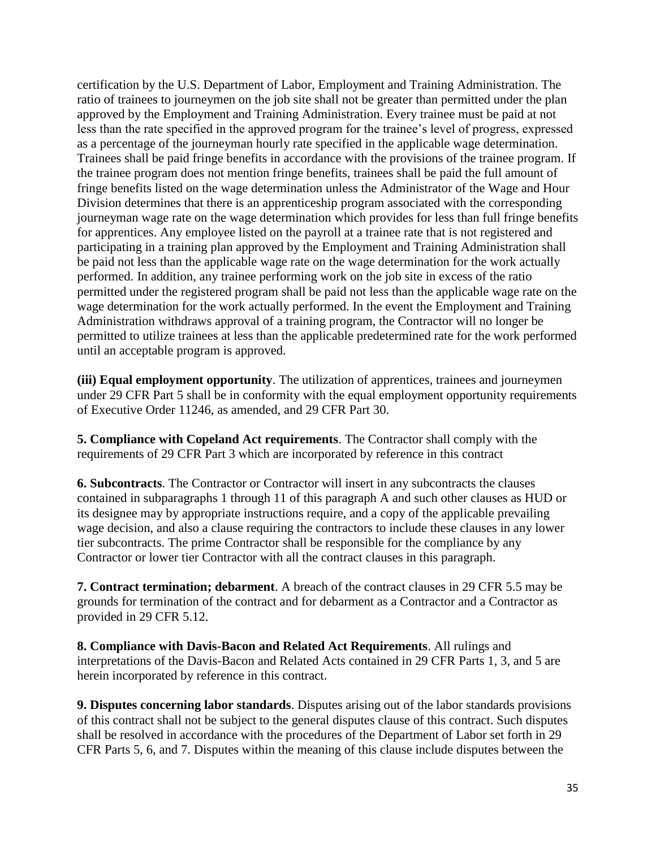certification by the U.S. Department of Labor, Employment and Training Administration. The ratio of trainees to journeymen on the job site shall not be greater than permitted under the plan approved by the Employment and Training Administration. Every trainee must be paid at not less than the rate specified in the approved program for the trainee's level of progress, expressed as a percentage of the journeyman hourly rate specified in the applicable wage determination. Trainees shall be paid fringe benefits in accordance with the provisions of the trainee program. If the trainee program does not mention fringe benefits, trainees shall be paid the full amount of fringe benefits listed on the wage determination unless the Administrator of the Wage and Hour Division determines that there is an apprenticeship program associated with the corresponding journeyman wage rate on the wage determination which provides for less than full fringe benefits for apprentices. Any employee listed on the payroll at a trainee rate that is not registered and participating in a training plan approved by the Employment and Training Administration shall be paid not less than the applicable wage rate on the wage determination for the work actually performed. In addition, any trainee performing work on the job site in excess of the ratio permitted under the registered program shall be paid not less than the applicable wage rate on the wage determination for the work actually performed. In the event the Employment and Training Administration withdraws approval of a training program, the Contractor will no longer be permitted to utilize trainees at less than the applicable predetermined rate for the work performed until an acceptable program is approved.

**(iii) Equal employment opportunity**. The utilization of apprentices, trainees and journeymen under 29 CFR Part 5 shall be in conformity with the equal employment opportunity requirements of Executive Order 11246, as amended, and 29 CFR Part 30.

**5. Compliance with Copeland Act requirements**. The Contractor shall comply with the requirements of 29 CFR Part 3 which are incorporated by reference in this contract

**6. Subcontracts**. The Contractor or Contractor will insert in any subcontracts the clauses contained in subparagraphs 1 through 11 of this paragraph A and such other clauses as HUD or its designee may by appropriate instructions require, and a copy of the applicable prevailing wage decision, and also a clause requiring the contractors to include these clauses in any lower tier subcontracts. The prime Contractor shall be responsible for the compliance by any Contractor or lower tier Contractor with all the contract clauses in this paragraph.

**7. Contract termination; debarment**. A breach of the contract clauses in 29 CFR 5.5 may be grounds for termination of the contract and for debarment as a Contractor and a Contractor as provided in 29 CFR 5.12.

**8. Compliance with Davis-Bacon and Related Act Requirements**. All rulings and interpretations of the Davis-Bacon and Related Acts contained in 29 CFR Parts 1, 3, and 5 are herein incorporated by reference in this contract.

**9. Disputes concerning labor standards**. Disputes arising out of the labor standards provisions of this contract shall not be subject to the general disputes clause of this contract. Such disputes shall be resolved in accordance with the procedures of the Department of Labor set forth in 29 CFR Parts 5, 6, and 7. Disputes within the meaning of this clause include disputes between the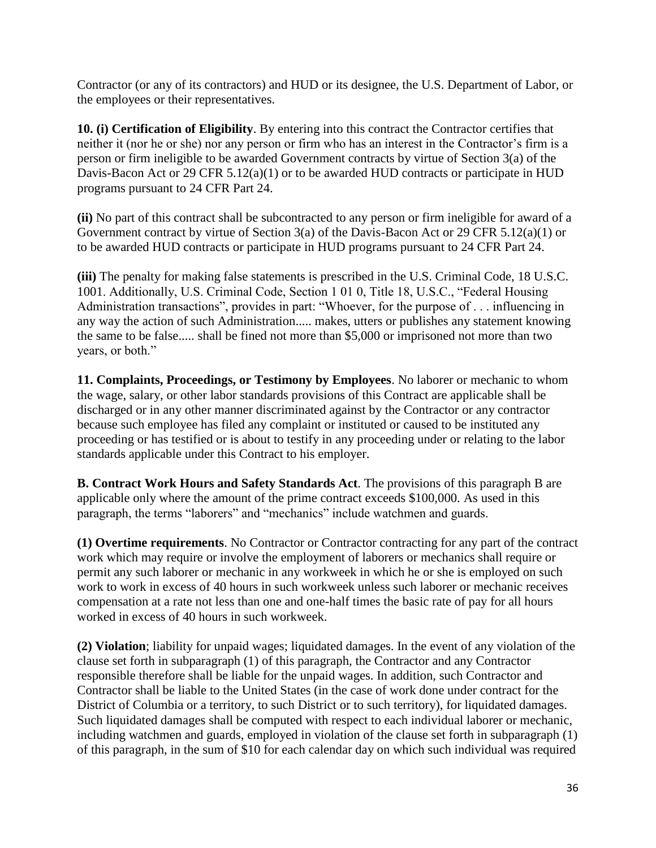Contractor (or any of its contractors) and HUD or its designee, the U.S. Department of Labor, or the employees or their representatives.

**10. (i) Certification of Eligibility**. By entering into this contract the Contractor certifies that neither it (nor he or she) nor any person or firm who has an interest in the Contractor's firm is a person or firm ineligible to be awarded Government contracts by virtue of Section 3(a) of the Davis-Bacon Act or 29 CFR 5.12(a)(1) or to be awarded HUD contracts or participate in HUD programs pursuant to 24 CFR Part 24.

**(ii)** No part of this contract shall be subcontracted to any person or firm ineligible for award of a Government contract by virtue of Section 3(a) of the Davis-Bacon Act or 29 CFR 5.12(a)(1) or to be awarded HUD contracts or participate in HUD programs pursuant to 24 CFR Part 24.

**(iii)** The penalty for making false statements is prescribed in the U.S. Criminal Code, 18 U.S.C. 1001. Additionally, U.S. Criminal Code, Section 1 01 0, Title 18, U.S.C., "Federal Housing Administration transactions", provides in part: "Whoever, for the purpose of . . . influencing in any way the action of such Administration..... makes, utters or publishes any statement knowing the same to be false..... shall be fined not more than \$5,000 or imprisoned not more than two years, or both."

**11. Complaints, Proceedings, or Testimony by Employees**. No laborer or mechanic to whom the wage, salary, or other labor standards provisions of this Contract are applicable shall be discharged or in any other manner discriminated against by the Contractor or any contractor because such employee has filed any complaint or instituted or caused to be instituted any proceeding or has testified or is about to testify in any proceeding under or relating to the labor standards applicable under this Contract to his employer.

**B. Contract Work Hours and Safety Standards Act**. The provisions of this paragraph B are applicable only where the amount of the prime contract exceeds \$100,000. As used in this paragraph, the terms "laborers" and "mechanics" include watchmen and guards.

**(1) Overtime requirements**. No Contractor or Contractor contracting for any part of the contract work which may require or involve the employment of laborers or mechanics shall require or permit any such laborer or mechanic in any workweek in which he or she is employed on such work to work in excess of 40 hours in such workweek unless such laborer or mechanic receives compensation at a rate not less than one and one-half times the basic rate of pay for all hours worked in excess of 40 hours in such workweek.

**(2) Violation**; liability for unpaid wages; liquidated damages. In the event of any violation of the clause set forth in subparagraph (1) of this paragraph, the Contractor and any Contractor responsible therefore shall be liable for the unpaid wages. In addition, such Contractor and Contractor shall be liable to the United States (in the case of work done under contract for the District of Columbia or a territory, to such District or to such territory), for liquidated damages. Such liquidated damages shall be computed with respect to each individual laborer or mechanic, including watchmen and guards, employed in violation of the clause set forth in subparagraph (1) of this paragraph, in the sum of \$10 for each calendar day on which such individual was required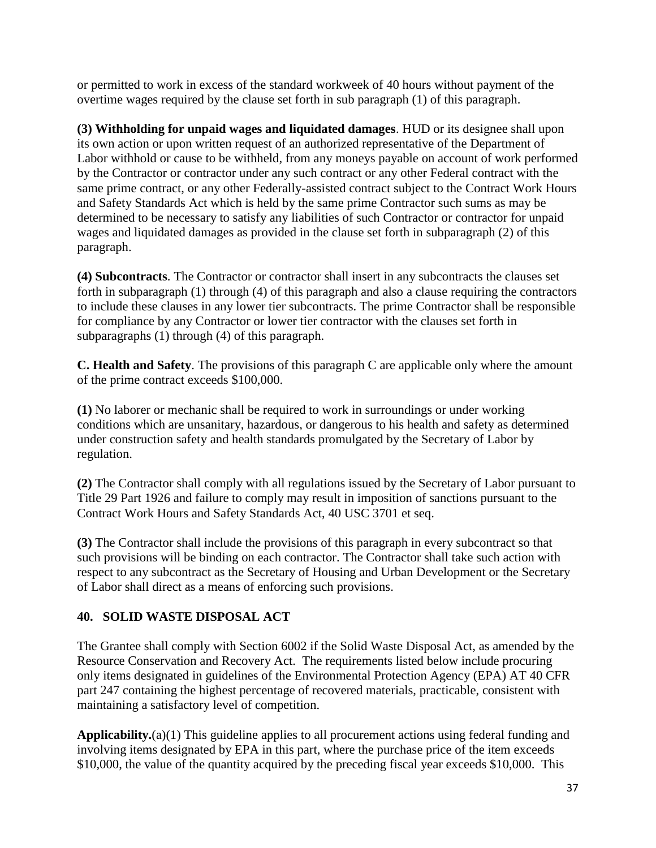or permitted to work in excess of the standard workweek of 40 hours without payment of the overtime wages required by the clause set forth in sub paragraph (1) of this paragraph.

**(3) Withholding for unpaid wages and liquidated damages**. HUD or its designee shall upon its own action or upon written request of an authorized representative of the Department of Labor withhold or cause to be withheld, from any moneys payable on account of work performed by the Contractor or contractor under any such contract or any other Federal contract with the same prime contract, or any other Federally-assisted contract subject to the Contract Work Hours and Safety Standards Act which is held by the same prime Contractor such sums as may be determined to be necessary to satisfy any liabilities of such Contractor or contractor for unpaid wages and liquidated damages as provided in the clause set forth in subparagraph (2) of this paragraph.

**(4) Subcontracts**. The Contractor or contractor shall insert in any subcontracts the clauses set forth in subparagraph (1) through (4) of this paragraph and also a clause requiring the contractors to include these clauses in any lower tier subcontracts. The prime Contractor shall be responsible for compliance by any Contractor or lower tier contractor with the clauses set forth in subparagraphs (1) through (4) of this paragraph.

**C. Health and Safety**. The provisions of this paragraph C are applicable only where the amount of the prime contract exceeds \$100,000.

**(1)** No laborer or mechanic shall be required to work in surroundings or under working conditions which are unsanitary, hazardous, or dangerous to his health and safety as determined under construction safety and health standards promulgated by the Secretary of Labor by regulation.

**(2)** The Contractor shall comply with all regulations issued by the Secretary of Labor pursuant to Title 29 Part 1926 and failure to comply may result in imposition of sanctions pursuant to the Contract Work Hours and Safety Standards Act, 40 USC 3701 et seq.

**(3)** The Contractor shall include the provisions of this paragraph in every subcontract so that such provisions will be binding on each contractor. The Contractor shall take such action with respect to any subcontract as the Secretary of Housing and Urban Development or the Secretary of Labor shall direct as a means of enforcing such provisions.

# **40. SOLID WASTE DISPOSAL ACT**

The Grantee shall comply with Section 6002 if the Solid Waste Disposal Act, as amended by the Resource Conservation and Recovery Act. The requirements listed below include procuring only items designated in guidelines of the Environmental Protection Agency (EPA) AT 40 CFR part 247 containing the highest percentage of recovered materials, practicable, consistent with maintaining a satisfactory level of competition.

**Applicability.**(a)(1) This guideline applies to all procurement actions using federal funding and involving items designated by EPA in this part, where the purchase price of the item exceeds \$10,000, the value of the quantity acquired by the preceding fiscal year exceeds \$10,000. This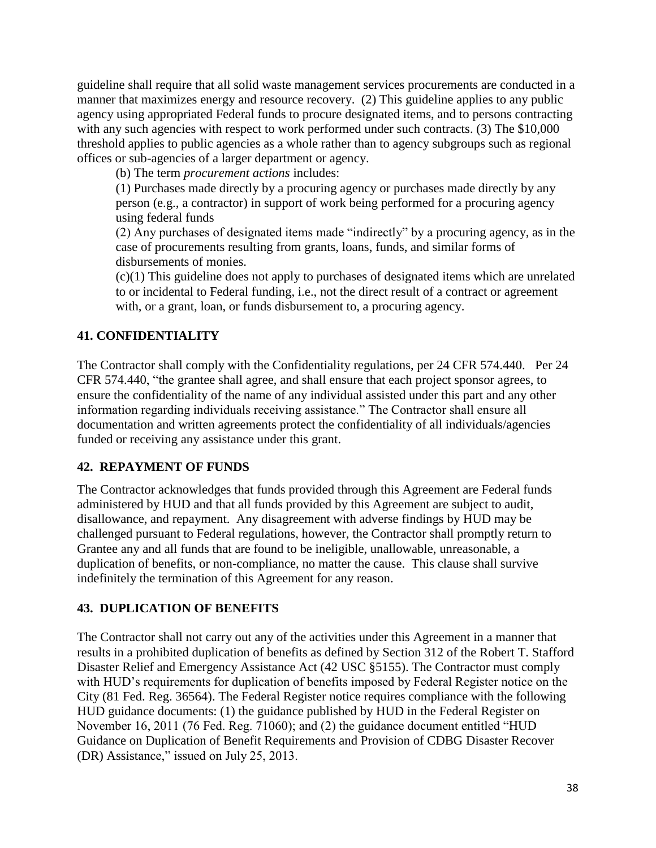guideline shall require that all solid waste management services procurements are conducted in a manner that maximizes energy and resource recovery. (2) This guideline applies to any public agency using appropriated Federal funds to procure designated items, and to persons contracting with any such agencies with respect to work performed under such contracts. (3) The \$10,000 threshold applies to public agencies as a whole rather than to agency subgroups such as regional offices or sub-agencies of a larger department or agency.

(b) The term *procurement actions* includes:

(1) Purchases made directly by a procuring agency or purchases made directly by any person (e.g., a contractor) in support of work being performed for a procuring agency using federal funds

(2) Any purchases of designated items made "indirectly" by a procuring agency, as in the case of procurements resulting from grants, loans, funds, and similar forms of disbursements of monies.

(c)(1) This guideline does not apply to purchases of designated items which are unrelated to or incidental to Federal funding, i.e., not the direct result of a contract or agreement with, or a grant, loan, or funds disbursement to, a procuring agency.

# **41. CONFIDENTIALITY**

The Contractor shall comply with the Confidentiality regulations, per 24 CFR 574.440. Per 24 CFR 574.440, "the [grantee](https://www.law.cornell.edu/definitions/index.php?width=840&height=800&iframe=true&def_id=5be9fefbc13ccd5b02cc53f92e3145ee&term_occur=1&term_src=Title:24:Subtitle:B:Chapter:V:Subchapter:C:Part:574:Subpart:E:574.440) shall agree, and shall ensure that each [project sponsor](https://www.law.cornell.edu/definitions/index.php?width=840&height=800&iframe=true&def_id=fec64d2a01d4d827ec60bc97e5ceb2bf&term_occur=1&term_src=Title:24:Subtitle:B:Chapter:V:Subchapter:C:Part:574:Subpart:E:574.440) agrees, to ensure the confidentiality of the name of any individual assisted under this part and any other information regarding individuals receiving assistance." The Contractor shall ensure all documentation and written agreements protect the confidentiality of all individuals/agencies funded or receiving any assistance under this grant.

## **42. REPAYMENT OF FUNDS**

The Contractor acknowledges that funds provided through this Agreement are Federal funds administered by HUD and that all funds provided by this Agreement are subject to audit, disallowance, and repayment. Any disagreement with adverse findings by HUD may be challenged pursuant to Federal regulations, however, the Contractor shall promptly return to Grantee any and all funds that are found to be ineligible, unallowable, unreasonable, a duplication of benefits, or non-compliance, no matter the cause. This clause shall survive indefinitely the termination of this Agreement for any reason.

## **43. DUPLICATION OF BENEFITS**

The Contractor shall not carry out any of the activities under this Agreement in a manner that results in a prohibited duplication of benefits as defined by Section 312 of the Robert T. Stafford Disaster Relief and Emergency Assistance Act (42 USC §5155). The Contractor must comply with HUD's requirements for duplication of benefits imposed by Federal Register notice on the City (81 Fed. Reg. 36564). The Federal Register notice requires compliance with the following HUD guidance documents: (1) the guidance published by HUD in the Federal Register on November 16, 2011 (76 Fed. Reg. 71060); and (2) the guidance document entitled "HUD Guidance on Duplication of Benefit Requirements and Provision of CDBG Disaster Recover (DR) Assistance," issued on July 25, 2013.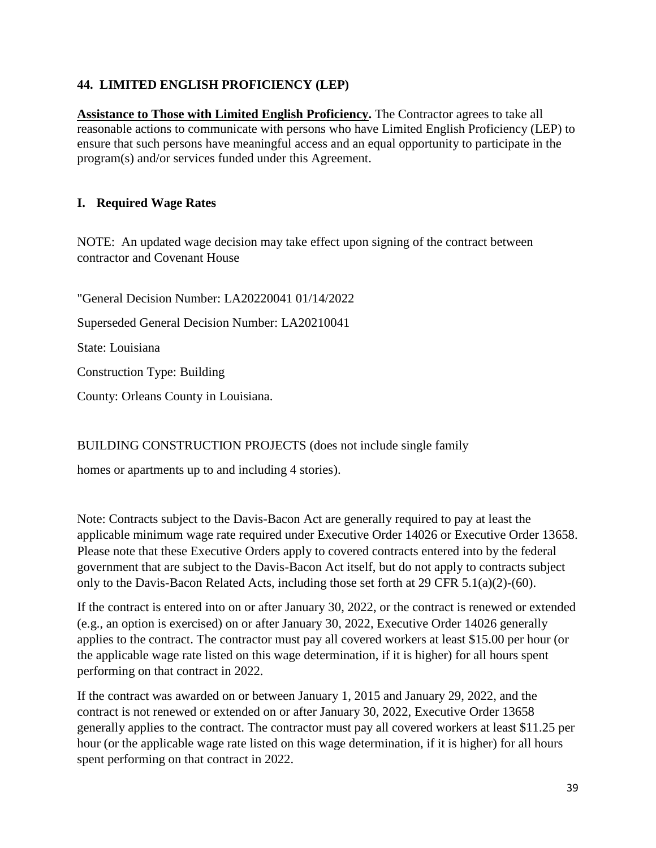# **44. LIMITED ENGLISH PROFICIENCY (LEP)**

**Assistance to Those with Limited English Proficiency.** The Contractor agrees to take all reasonable actions to communicate with persons who have Limited English Proficiency (LEP) to ensure that such persons have meaningful access and an equal opportunity to participate in the program(s) and/or services funded under this Agreement.

## **I. Required Wage Rates**

NOTE: An updated wage decision may take effect upon signing of the contract between contractor and Covenant House

"General Decision Number: LA20220041 01/14/2022 Superseded General Decision Number: LA20210041 State: Louisiana Construction Type: Building County: Orleans County in Louisiana.

BUILDING CONSTRUCTION PROJECTS (does not include single family

homes or apartments up to and including 4 stories).

Note: Contracts subject to the Davis-Bacon Act are generally required to pay at least the applicable minimum wage rate required under Executive Order 14026 or Executive Order 13658. Please note that these Executive Orders apply to covered contracts entered into by the federal government that are subject to the Davis-Bacon Act itself, but do not apply to contracts subject only to the Davis-Bacon Related Acts, including those set forth at 29 CFR 5.1(a)(2)-(60).

If the contract is entered into on or after January 30, 2022, or the contract is renewed or extended (e.g., an option is exercised) on or after January 30, 2022, Executive Order 14026 generally applies to the contract. The contractor must pay all covered workers at least \$15.00 per hour (or the applicable wage rate listed on this wage determination, if it is higher) for all hours spent performing on that contract in 2022.

If the contract was awarded on or between January 1, 2015 and January 29, 2022, and the contract is not renewed or extended on or after January 30, 2022, Executive Order 13658 generally applies to the contract. The contractor must pay all covered workers at least \$11.25 per hour (or the applicable wage rate listed on this wage determination, if it is higher) for all hours spent performing on that contract in 2022.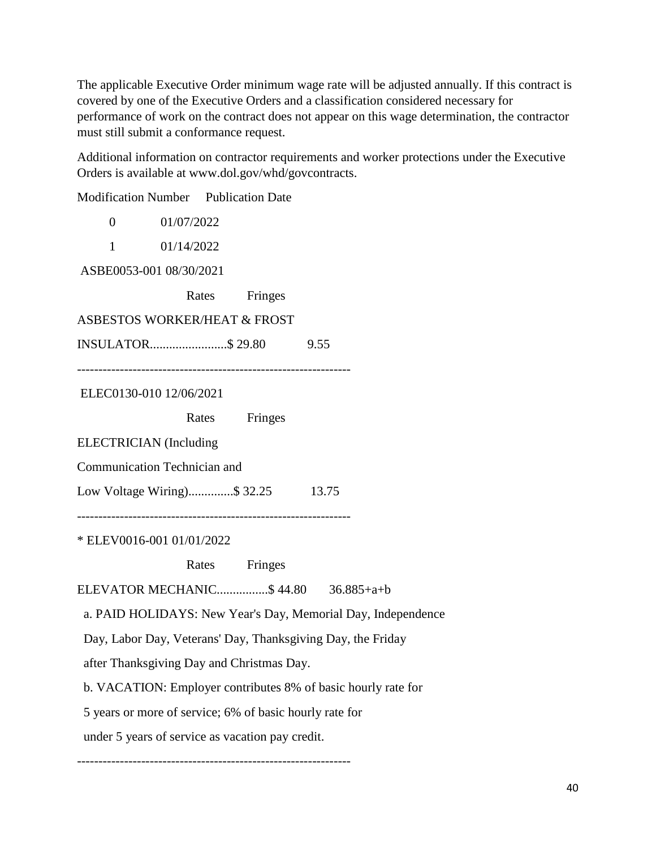The applicable Executive Order minimum wage rate will be adjusted annually. If this contract is covered by one of the Executive Orders and a classification considered necessary for performance of work on the contract does not appear on this wage determination, the contractor must still submit a conformance request.

Additional information on contractor requirements and worker protections under the Executive Orders is available at www.dol.gov/whd/govcontracts.

Modification Number Publication Date 0 01/07/2022 1 01/14/2022 ASBE0053-001 08/30/2021 Rates Fringes ASBESTOS WORKER/HEAT & FROST INSULATOR........................\$ 29.80 9.55 ---------------------------------------------------------------- ELEC0130-010 12/06/2021 Rates Fringes ELECTRICIAN (Including Communication Technician and Low Voltage Wiring)..............\$ 32.25 13.75 ---------------------------------------------------------------- \* ELEV0016-001 01/01/2022 Rates Fringes ELEVATOR MECHANIC................\$ 44.80 36.885+a+b a. PAID HOLIDAYS: New Year's Day, Memorial Day, Independence Day, Labor Day, Veterans' Day, Thanksgiving Day, the Friday after Thanksgiving Day and Christmas Day. b. VACATION: Employer contributes 8% of basic hourly rate for 5 years or more of service; 6% of basic hourly rate for under 5 years of service as vacation pay credit.

----------------------------------------------------------------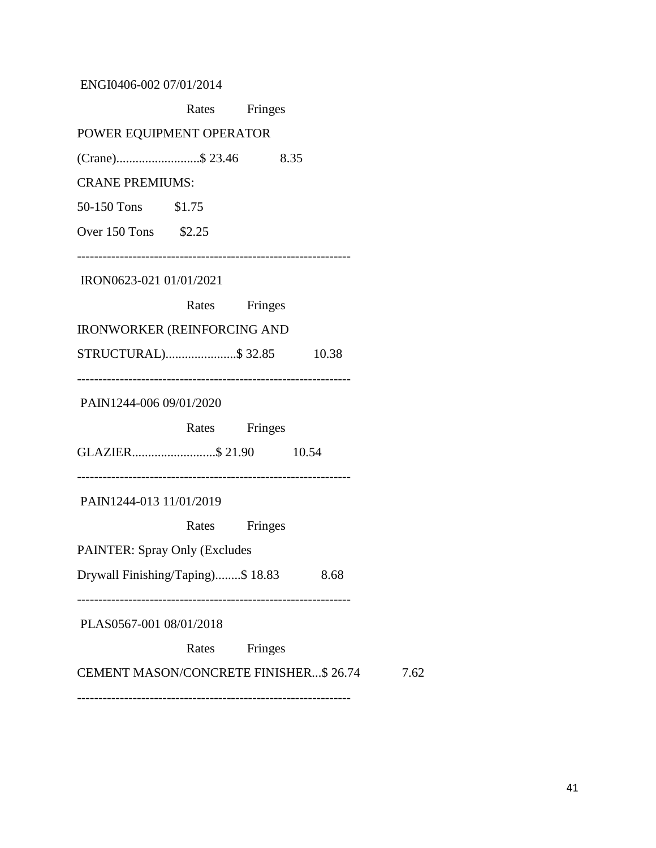ENGI0406-002 07/01/2014

|                                              | Rates Fringes |         |      |      |
|----------------------------------------------|---------------|---------|------|------|
| POWER EQUIPMENT OPERATOR                     |               |         |      |      |
|                                              |               |         |      |      |
| <b>CRANE PREMIUMS:</b>                       |               |         |      |      |
| 50-150 Tons \$1.75                           |               |         |      |      |
| Over 150 Tons \$2.25                         |               |         |      |      |
| IRON0623-021 01/01/2021                      |               |         |      |      |
|                                              | Rates Fringes |         |      |      |
| <b>IRONWORKER (REINFORCING AND</b>           |               |         |      |      |
| STRUCTURAL)\$ 32.85 10.38                    |               |         |      |      |
| PAIN1244-006 09/01/2020                      |               |         |      |      |
|                                              | Rates Fringes |         |      |      |
| GLAZIER\$ 21.90 10.54                        |               |         |      |      |
| PAIN1244-013 11/01/2019                      |               |         |      |      |
|                                              | Rates Fringes |         |      |      |
| <b>PAINTER: Spray Only (Excludes</b>         |               |         |      |      |
| Drywall Finishing/Taping)\$ 18.83            |               |         | 8.68 |      |
| PLAS0567-001 08/01/2018                      |               |         |      |      |
|                                              | Rates         | Fringes |      |      |
| <b>CEMENT MASON/CONCRETE FINISHER\$26.74</b> |               |         |      | 7.62 |
|                                              |               |         |      |      |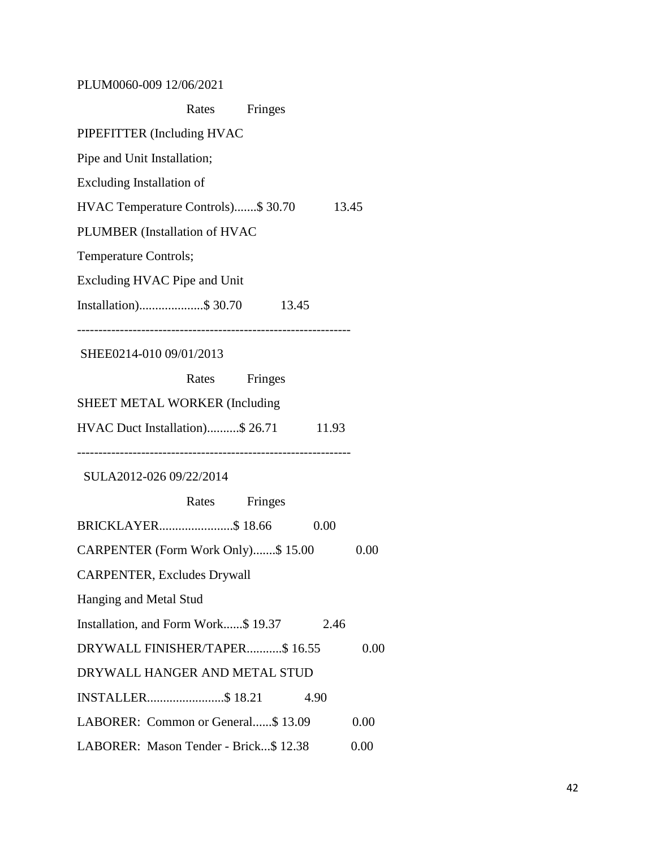PLUM0060-009 12/06/2021

| Rates<br>Fringes                              |      |  |  |  |
|-----------------------------------------------|------|--|--|--|
| PIPEFITTER (Including HVAC                    |      |  |  |  |
| Pipe and Unit Installation;                   |      |  |  |  |
| <b>Excluding Installation of</b>              |      |  |  |  |
| HVAC Temperature Controls)\$ 30.70<br>13.45   |      |  |  |  |
| PLUMBER (Installation of HVAC                 |      |  |  |  |
| Temperature Controls;                         |      |  |  |  |
| <b>Excluding HVAC Pipe and Unit</b>           |      |  |  |  |
| Installation)\$ 30.70<br>13.45                |      |  |  |  |
| SHEE0214-010 09/01/2013                       |      |  |  |  |
| Rates<br>Fringes                              |      |  |  |  |
| SHEET METAL WORKER (Including                 |      |  |  |  |
| HVAC Duct Installation)\$ 26.71<br>11.93      |      |  |  |  |
| SULA2012-026 09/22/2014                       |      |  |  |  |
| Rates Fringes                                 |      |  |  |  |
| BRICKLAYER\$ 18.66<br>0.00                    |      |  |  |  |
| CARPENTER (Form Work Only)\$15.00             | 0.00 |  |  |  |
| <b>CARPENTER, Excludes Drywall</b>            |      |  |  |  |
| Hanging and Metal Stud                        |      |  |  |  |
| Installation, and Form Work\$ 19.37<br>2.46   |      |  |  |  |
| DRYWALL FINISHER/TAPER\$ 16.55                | 0.00 |  |  |  |
| DRYWALL HANGER AND METAL STUD                 |      |  |  |  |
| INSTALLER\$18.21<br>4.90                      |      |  |  |  |
| LABORER: Common or General\$13.09             | 0.00 |  |  |  |
| LABORER: Mason Tender - Brick\$ 12.38<br>0.00 |      |  |  |  |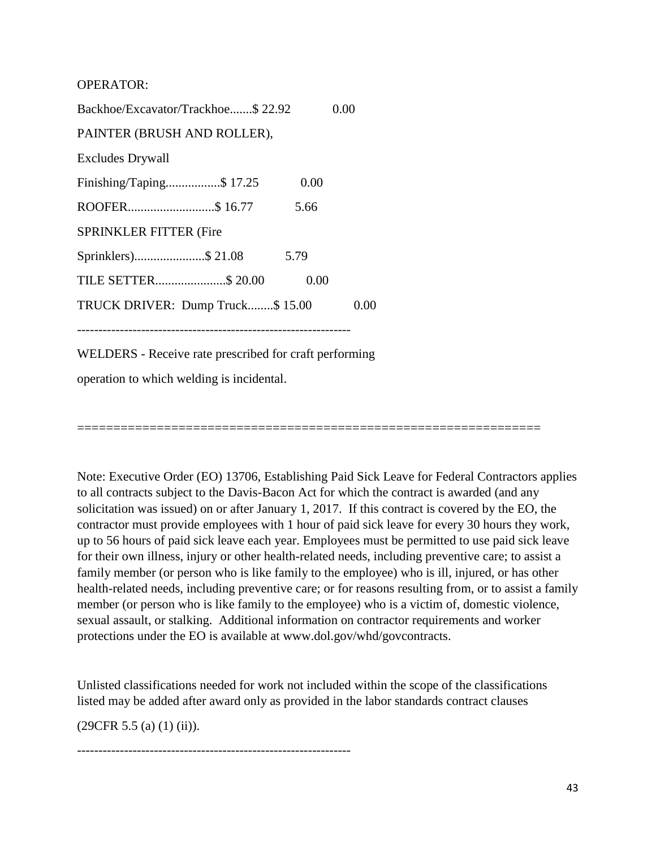OPERATOR:

Backhoe/Excavator/Trackhoe.......\$ 22.92 0.00 PAINTER (BRUSH AND ROLLER), Excludes Drywall Finishing/Taping..................\$ 17.25 0.00 ROOFER...........................\$ 16.77 5.66 SPRINKLER FITTER (Fire Sprinklers)......................\$ 21.08 5.79 TILE SETTER......................\$ 20.00 0.00 TRUCK DRIVER: Dump Truck........\$ 15.00 0.00 ---------------------------------------------------------------- WELDERS - Receive rate prescribed for craft performing

operation to which welding is incidental.

Note: Executive Order (EO) 13706, Establishing Paid Sick Leave for Federal Contractors applies to all contracts subject to the Davis-Bacon Act for which the contract is awarded (and any solicitation was issued) on or after January 1, 2017. If this contract is covered by the EO, the contractor must provide employees with 1 hour of paid sick leave for every 30 hours they work, up to 56 hours of paid sick leave each year. Employees must be permitted to use paid sick leave for their own illness, injury or other health-related needs, including preventive care; to assist a family member (or person who is like family to the employee) who is ill, injured, or has other health-related needs, including preventive care; or for reasons resulting from, or to assist a family member (or person who is like family to the employee) who is a victim of, domestic violence, sexual assault, or stalking. Additional information on contractor requirements and worker protections under the EO is available at www.dol.gov/whd/govcontracts.

================================================================

Unlisted classifications needed for work not included within the scope of the classifications listed may be added after award only as provided in the labor standards contract clauses

 $(29CFR 5.5 (a) (1) (ii)).$ 

----------------------------------------------------------------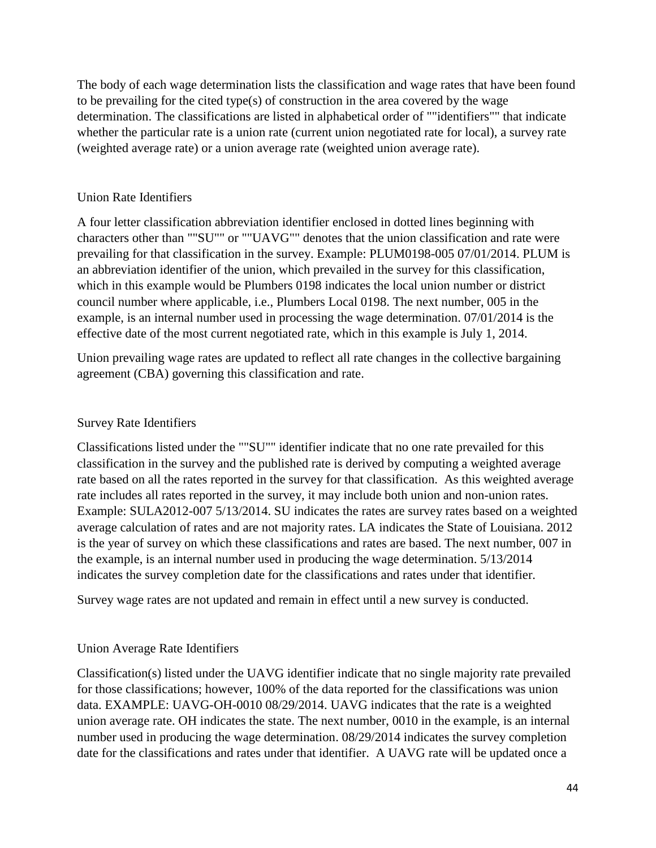The body of each wage determination lists the classification and wage rates that have been found to be prevailing for the cited type(s) of construction in the area covered by the wage determination. The classifications are listed in alphabetical order of ""identifiers"" that indicate whether the particular rate is a union rate (current union negotiated rate for local), a survey rate (weighted average rate) or a union average rate (weighted union average rate).

## Union Rate Identifiers

A four letter classification abbreviation identifier enclosed in dotted lines beginning with characters other than ""SU"" or ""UAVG"" denotes that the union classification and rate were prevailing for that classification in the survey. Example: PLUM0198-005 07/01/2014. PLUM is an abbreviation identifier of the union, which prevailed in the survey for this classification, which in this example would be Plumbers 0198 indicates the local union number or district council number where applicable, i.e., Plumbers Local 0198. The next number, 005 in the example, is an internal number used in processing the wage determination. 07/01/2014 is the effective date of the most current negotiated rate, which in this example is July 1, 2014.

Union prevailing wage rates are updated to reflect all rate changes in the collective bargaining agreement (CBA) governing this classification and rate.

## Survey Rate Identifiers

Classifications listed under the ""SU"" identifier indicate that no one rate prevailed for this classification in the survey and the published rate is derived by computing a weighted average rate based on all the rates reported in the survey for that classification. As this weighted average rate includes all rates reported in the survey, it may include both union and non-union rates. Example: SULA2012-007 5/13/2014. SU indicates the rates are survey rates based on a weighted average calculation of rates and are not majority rates. LA indicates the State of Louisiana. 2012 is the year of survey on which these classifications and rates are based. The next number, 007 in the example, is an internal number used in producing the wage determination. 5/13/2014 indicates the survey completion date for the classifications and rates under that identifier.

Survey wage rates are not updated and remain in effect until a new survey is conducted.

# Union Average Rate Identifiers

Classification(s) listed under the UAVG identifier indicate that no single majority rate prevailed for those classifications; however, 100% of the data reported for the classifications was union data. EXAMPLE: UAVG-OH-0010 08/29/2014. UAVG indicates that the rate is a weighted union average rate. OH indicates the state. The next number, 0010 in the example, is an internal number used in producing the wage determination. 08/29/2014 indicates the survey completion date for the classifications and rates under that identifier. A UAVG rate will be updated once a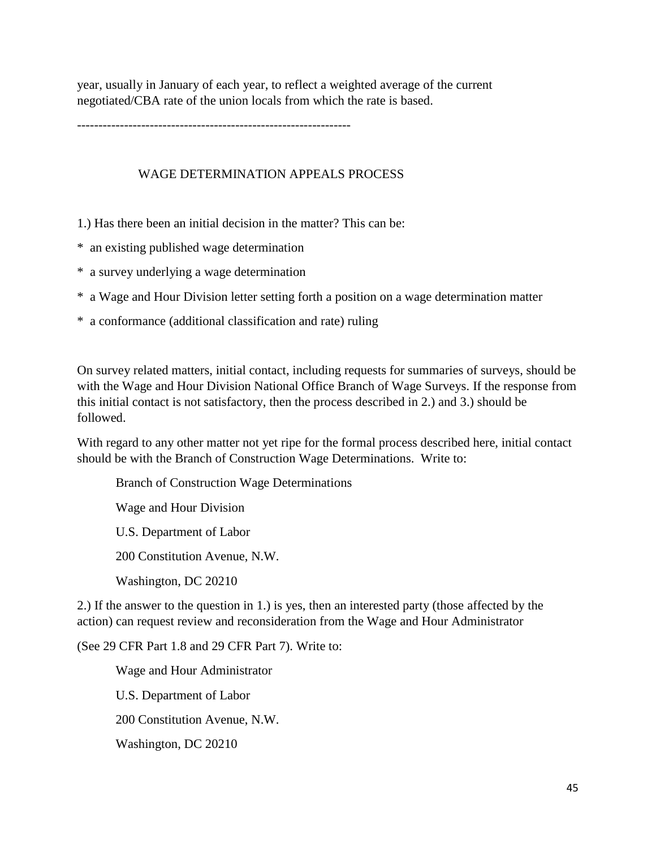year, usually in January of each year, to reflect a weighted average of the current negotiated/CBA rate of the union locals from which the rate is based.

----------------------------------------------------------------

#### WAGE DETERMINATION APPEALS PROCESS

1.) Has there been an initial decision in the matter? This can be:

- \* an existing published wage determination
- \* a survey underlying a wage determination
- \* a Wage and Hour Division letter setting forth a position on a wage determination matter
- \* a conformance (additional classification and rate) ruling

On survey related matters, initial contact, including requests for summaries of surveys, should be with the Wage and Hour Division National Office Branch of Wage Surveys. If the response from this initial contact is not satisfactory, then the process described in 2.) and 3.) should be followed.

With regard to any other matter not yet ripe for the formal process described here, initial contact should be with the Branch of Construction Wage Determinations. Write to:

Branch of Construction Wage Determinations

Wage and Hour Division

U.S. Department of Labor

200 Constitution Avenue, N.W.

Washington, DC 20210

2.) If the answer to the question in 1.) is yes, then an interested party (those affected by the action) can request review and reconsideration from the Wage and Hour Administrator

(See 29 CFR Part 1.8 and 29 CFR Part 7). Write to:

 Wage and Hour Administrator U.S. Department of Labor 200 Constitution Avenue, N.W. Washington, DC 20210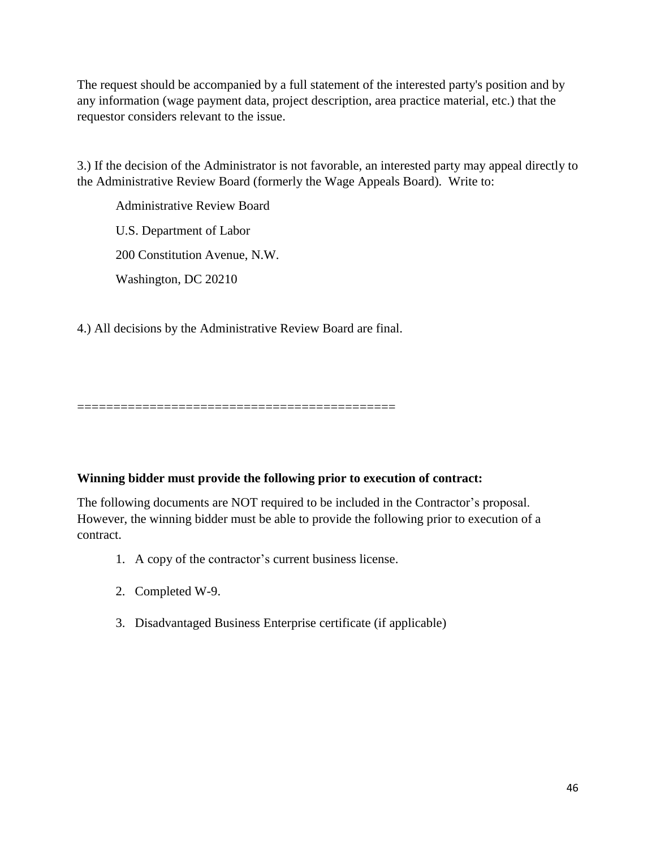The request should be accompanied by a full statement of the interested party's position and by any information (wage payment data, project description, area practice material, etc.) that the requestor considers relevant to the issue.

3.) If the decision of the Administrator is not favorable, an interested party may appeal directly to the Administrative Review Board (formerly the Wage Appeals Board). Write to:

 Administrative Review Board U.S. Department of Labor 200 Constitution Avenue, N.W. Washington, DC 20210

4.) All decisions by the Administrative Review Board are final.

============================================

## **Winning bidder must provide the following prior to execution of contract:**

The following documents are NOT required to be included in the Contractor's proposal. However, the winning bidder must be able to provide the following prior to execution of a contract.

- 1. A copy of the contractor's current business license.
- 2. Completed W-9.
- 3. Disadvantaged Business Enterprise certificate (if applicable)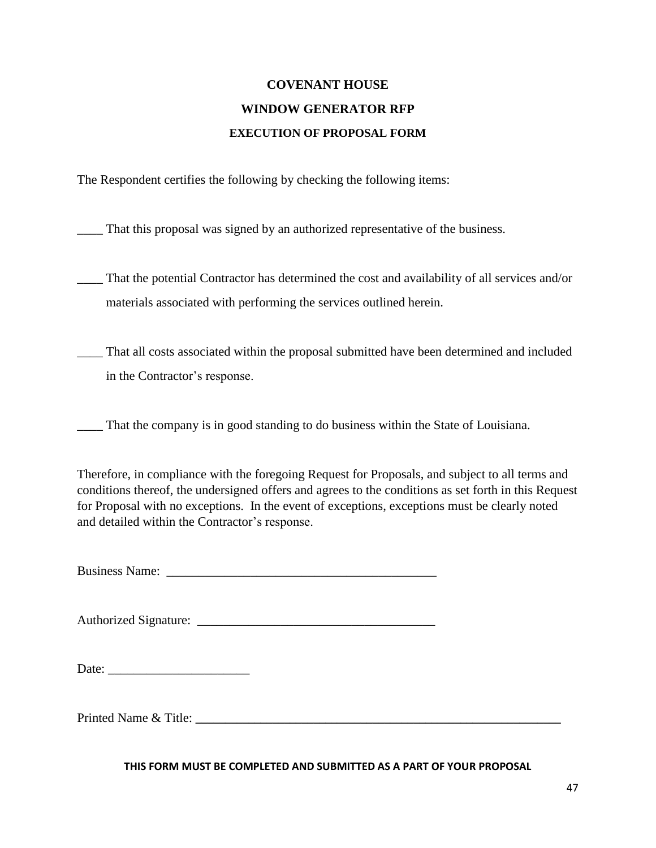# **COVENANT HOUSE WINDOW GENERATOR RFP EXECUTION OF PROPOSAL FORM**

The Respondent certifies the following by checking the following items:

\_\_\_\_ That this proposal was signed by an authorized representative of the business.

\_\_\_\_ That the potential Contractor has determined the cost and availability of all services and/or materials associated with performing the services outlined herein.

\_\_\_\_ That all costs associated within the proposal submitted have been determined and included in the Contractor's response.

\_\_\_\_ That the company is in good standing to do business within the State of Louisiana.

Therefore, in compliance with the foregoing Request for Proposals, and subject to all terms and conditions thereof, the undersigned offers and agrees to the conditions as set forth in this Request for Proposal with no exceptions. In the event of exceptions, exceptions must be clearly noted and detailed within the Contractor's response.

Business Name:

Authorized Signature:

Date:

Printed Name & Title:

**THIS FORM MUST BE COMPLETED AND SUBMITTED AS A PART OF YOUR PROPOSAL**